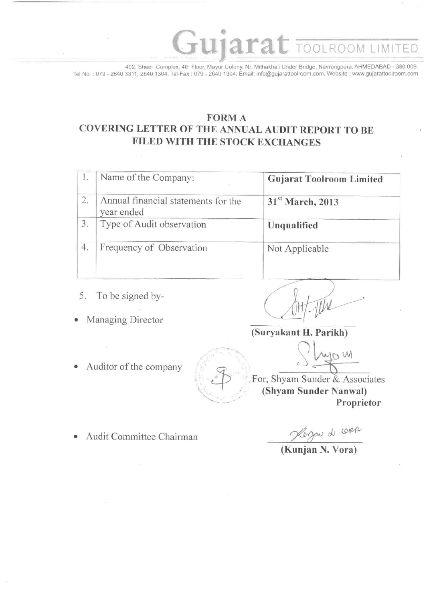402, Sheel Complex, 4th Floor, Mayur Colony, Nr. Mithakhali Under Bridge, Navrangpura, AHMEDABAD - 380 009. Tel No.: 079 - 2640 3311, 2640 1304, Tel-Fax: 079 - 2640 1304, Email: info@gujarattoolroom.com, Website: www.gujarattoolroom.com

ujara

# **FORMA** COVERING LETTER OF THE ANNUAL AUDIT REPORT TO BE FILED WITH THE STOCK EXCHANGES

| ı. | Name of the Company:                              | <b>Gujarat Toolroom Limited</b> |
|----|---------------------------------------------------|---------------------------------|
| 2. | Annual financial statements for the<br>year ended | 31 <sup>st</sup> March, 2013    |
| 3. | Type of Audit observation                         | Unqualified                     |
| 4. | Frequency of Observation                          | Not Applicable                  |

- 5. To be signed by-
- Managing Director  $\bullet$

**TOOLROOM LIMITED** 

(Suryakant H. Parikh)

Auditor of the company  $\bullet$ 

For, Shyam Sunder & Associates (Shyam Sunder Nanwal) Proprietor

Audit Committee Chairman

par de corre

W,

(Kunian N. Vora)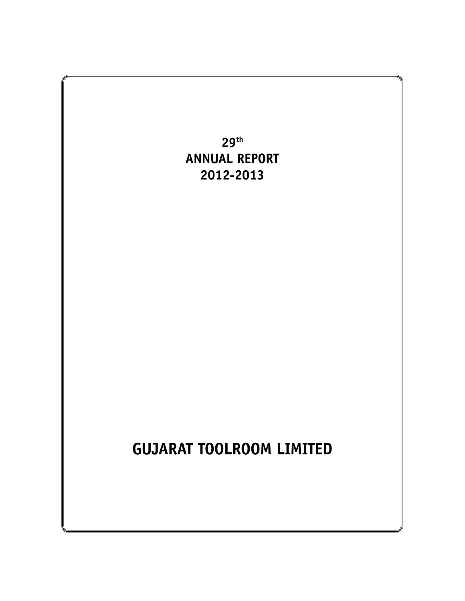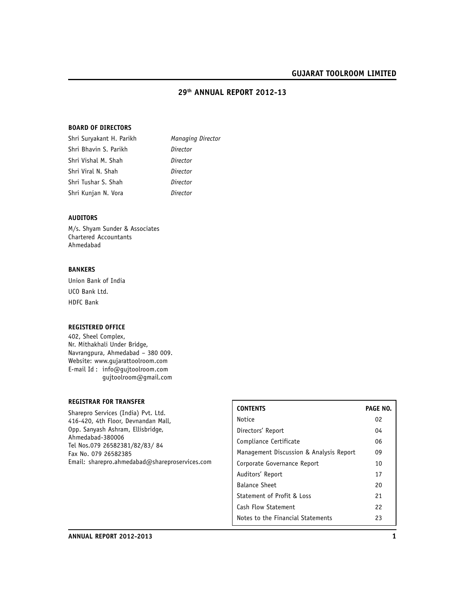#### **29th ANNUAL REPORT 2012-13**

#### **BOARD OF DIRECTORS**

| Shri Suryakant H. Parikh | Managing Director |
|--------------------------|-------------------|
| Shri Bhavin S. Parikh    | Director          |
| Shri Vishal M. Shah      | Director          |
| Shri Viral N. Shah       | Director          |
| Shri Tushar S. Shah      | Director          |
| Shri Kunjan N. Vora      | Director          |
|                          |                   |

### **AUDITORS**

M/s. Shyam Sunder & Associates Chartered Accountants Ahmedabad

#### **BANKERS**

Union Bank of India UCO Bank Ltd. HDFC Bank

#### **REGISTERED OFFICE**

402, Sheel Complex, Nr. Mithakhali Under Bridge, Navrangpura, Ahmedabad – 380 009. Website: www.gujarattoolroom.com E-mail Id : info@gujtoolroom.com gujtoolroom@gmail.com

# **REGISTRAR FOR TRANSFER**

Sharepro Services (India) Pvt. Ltd. 416-420, 4th Floor, Devnandan Mall, Opp. Sanyash Ashram, Ellisbridge, Ahmedabad-380006 Tel Nos.079 26582381/82/83/ 84 Fax No. 079 26582385 Email: sharepro.ahmedabad@shareproservices.com

| <b>CONTENTS</b>                         | <b>PAGE NO.</b> |
|-----------------------------------------|-----------------|
| Notice                                  | 02              |
| Directors' Report                       | 04              |
| Compliance Certificate                  | 06              |
| Management Discussion & Analysis Report | 09              |
| Corporate Governance Report             | 10              |
| Auditors' Report                        | 17              |
| <b>Balance Sheet</b>                    | 20              |
| Statement of Profit & Loss              | 21              |
| Cash Flow Statement                     | 22              |
| Notes to the Financial Statements       | 23              |
|                                         |                 |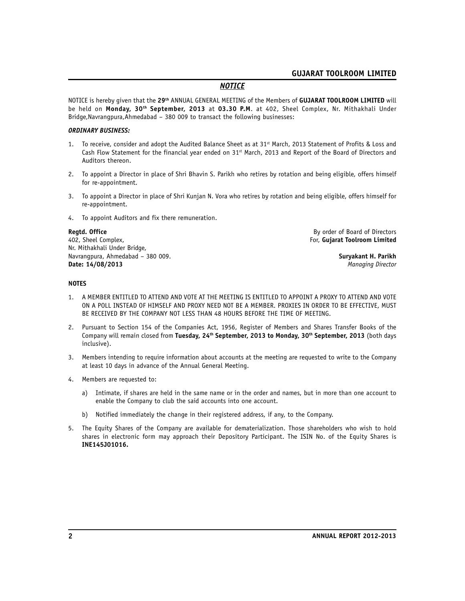# *NOTICE*

NOTICE is hereby given that the **29th** ANNUAL GENERAL MEETING of the Members of **GUJARAT TOOLROOM LIMITED** will be held on **Monday, 30th September, 2013** at **03.30 P.M**. at 402, Sheel Complex, Nr. Mithakhali Under Bridge,Navrangpura,Ahmedabad – 380 009 to transact the following businesses:

#### *ORDINARY BUSINESS:*

- 1. To receive, consider and adopt the Audited Balance Sheet as at  $31<sup>st</sup>$  March, 2013 Statement of Profits & Loss and Cash Flow Statement for the financial year ended on 31st March, 2013 and Report of the Board of Directors and Auditors thereon.
- 2. To appoint a Director in place of Shri Bhavin S. Parikh who retires by rotation and being eligible, offers himself for re-appointment.
- 3. To appoint a Director in place of Shri Kunjan N. Vora who retires by rotation and being eligible, offers himself for re-appointment.
- 4. To appoint Auditors and fix there remuneration.

402, Sheel Complex, For, **Gujarat Toolroom Limited** Nr. Mithakhali Under Bridge, Navrangpura, Ahmedabad – 380 009. **Suryakant H. Parikh Date: 14/08/2013** *Managing Director*

**Regtd. Office By order of Board of Directors** 

#### **NOTES**

- 1. A MEMBER ENTITLED TO ATTEND AND VOTE AT THE MEETING IS ENTITLED TO APPOINT A PROXY TO ATTEND AND VOTE ON A POLL INSTEAD OF HIMSELF AND PROXY NEED NOT BE A MEMBER. PROXIES IN ORDER TO BE EFFECTIVE, MUST BE RECEIVED BY THE COMPANY NOT LESS THAN 48 HOURS BEFORE THE TIME OF MEETING.
- 2. Pursuant to Section 154 of the Companies Act, 1956, Register of Members and Shares Transfer Books of the Company will remain closed from **Tuesday, 24th September, 2013 to Monday, 30th September, 2013** (both days inclusive).
- 3. Members intending to require information about accounts at the meeting are requested to write to the Company at least 10 days in advance of the Annual General Meeting.
- 4. Members are requested to:
	- a) Intimate, if shares are held in the same name or in the order and names, but in more than one account to enable the Company to club the said accounts into one account.
	- b) Notified immediately the change in their registered address, if any, to the Company.
- 5. The Equity Shares of the Company are available for dematerialization. Those shareholders who wish to hold shares in electronic form may approach their Depository Participant. The ISIN No. of the Equity Shares is **INE145J01016.**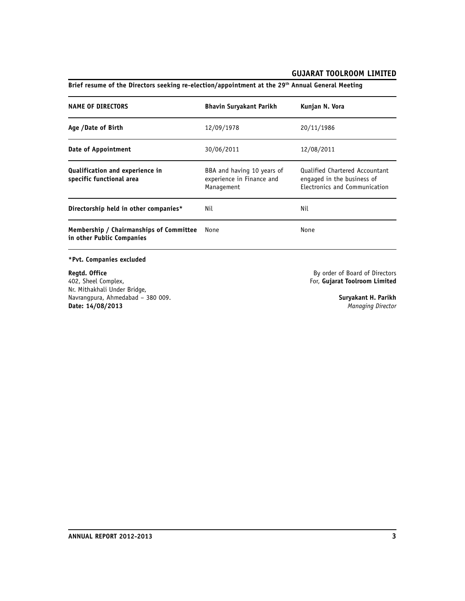# **NAME OF DIRECTORS Bhavin Suryakant Parikh Kunjan N. Vora Age /Date of Birth** 12/09/1978 20/11/1986 **Date of Appointment** 30/06/2011 12/08/2011 **Qualification and experience in**<br> **BBA** and having 10 years of Qualified Chartered Accountant<br> **specific functional area** experience in Finance and engaged in the business of experience in Finance and engaged in the business of Management **Electronics** and Communicat Electronics and Communication **Directorship held in other companies\*** Nil Nil **Membership / Chairmanships of Committee** None None **in other Public Companies**

# **Brief resume of the Directors seeking re-election/appointment at the 29th Annual General Meeting**

#### **\*Pvt. Companies excluded**

**Regtd. Office Regtd. Office By order of Board of Directors**<br>
402, Sheel Complex, **By order of Board of Directors** Nr. Mithakhali Under Bridge, Navrangpura, Ahmedabad – 380 009. **Suryakant H. Parikh Date: 14/08/2013** *Managing Director*

402, Sheel Complex, For, **Gujarat Toolroom Limited**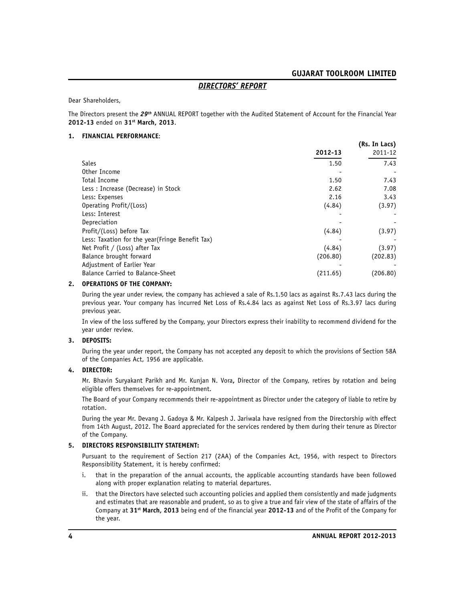# *DIRECTORS' REPORT*

Dear Shareholders,

The Directors present the *29th* ANNUAL REPORT together with the Audited Statement of Account for the Financial Year **2012-13** ended on **31st March, 2013**.

#### **1. FINANCIAL PERFORMANCE**:

|                                                  |          | (Rs. In Lacs) |
|--------------------------------------------------|----------|---------------|
|                                                  | 2012-13  | 2011-12       |
| <b>Sales</b>                                     | 1.50     | 7.43          |
| Other Income                                     |          |               |
| Total Income                                     | 1.50     | 7.43          |
| Less: Increase (Decrease) in Stock               | 2.62     | 7.08          |
| Less: Expenses                                   | 2.16     | 3.43          |
| Operating Profit/(Loss)                          | (4.84)   | (3.97)        |
| Less: Interest                                   |          |               |
| Depreciation                                     |          |               |
| Profit/(Loss) before Tax                         | (4.84)   | (3.97)        |
| Less: Taxation for the year (Fringe Benefit Tax) |          |               |
| Net Profit / (Loss) after Tax                    | (4.84)   | (3.97)        |
| Balance brought forward                          | (206.80) | (202.83)      |
| Adjustment of Earlier Year                       |          |               |
| Balance Carried to Balance-Sheet                 | (211.65) | (206.80)      |

#### **2. OPERATIONS OF THE COMPANY:**

During the year under review, the company has achieved a sale of Rs.1.50 lacs as against Rs.7.43 lacs during the previous year. Your company has incurred Net Loss of Rs.4.84 lacs as against Net Loss of Rs.3.97 lacs during previous year.

In view of the loss suffered by the Company, your Directors express their inability to recommend dividend for the year under review.

#### **3. DEPOSITS:**

During the year under report, the Company has not accepted any deposit to which the provisions of Section 58A of the Companies Act, 1956 are applicable.

#### **4. DIRECTOR:**

Mr. Bhavin Suryakant Parikh and Mr. Kunjan N. Vora**,** Director of the Company, retires by rotation and being eligible offers themselves for re-appointment.

The Board of your Company recommends their re-appointment as Director under the category of liable to retire by rotation.

During the year Mr. Devang J. Gadoya & Mr. Kalpesh J. Jariwala have resigned from the Directorship with effect from 14th August, 2012. The Board appreciated for the services rendered by them during their tenure as Director of the Company.

#### **5. DIRECTORS RESPONSIBILITY STATEMENT:**

Pursuant to the requirement of Section 217 (2AA) of the Companies Act, 1956, with respect to Directors Responsibility Statement, it is hereby confirmed:

- i. that in the preparation of the annual accounts, the applicable accounting standards have been followed along with proper explanation relating to material departures.
- ii. that the Directors have selected such accounting policies and applied them consistently and made judgments and estimates that are reasonable and prudent, so as to give a true and fair view of the state of affairs of the Company at **31st March, 2013** being end of the financial year **2012-13** and of the Profit of the Company for the year.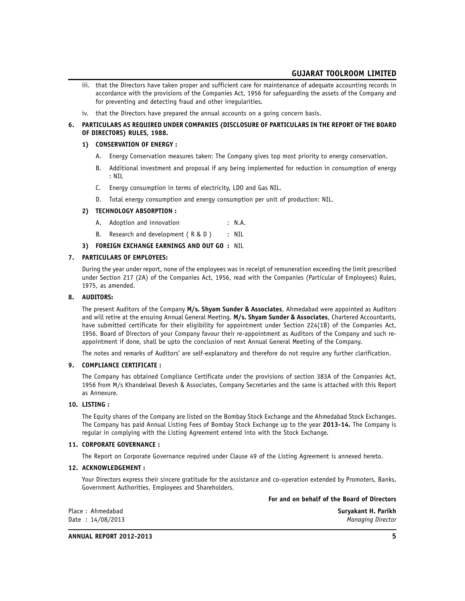- iii. that the Directors have taken proper and sufficient care for maintenance of adequate accounting records in accordance with the provisions of the Companies Act, 1956 for safeguarding the assets of the Company and for preventing and detecting fraud and other irregularities.
- iv. that the Directors have prepared the annual accounts on a going concern basis.
- **6. PARTICULARS AS REQUIRED UNDER COMPANIES (DISCLOSURE OF PARTICULARS IN THE REPORT OF THE BOARD OF DIRECTORS) RULES, 1988.**

#### **1) CONSERVATION OF ENERGY :**

- A. Energy Conservation measures taken: The Company gives top most priority to energy conservation.
- B. Additional investment and proposal if any being implemented for reduction in consumption of energy : NIL
- C. Energy consumption in terms of electricity, LDO and Gas NIL.
- D. Total energy consumption and energy consumption per unit of production: NIL.

#### **2) TECHNOLOGY ABSORPTION :**

- A. Adoption and innovation : N.A.
- B. Research and development (R & D ) : NIL

#### **3) FOREIGN EXCHANGE EARNINGS AND OUT GO :** NIL

#### **7. PARTICULARS OF EMPLOYEES:**

During the year under report, none of the employees was in receipt of remuneration exceeding the limit prescribed under Section 217 (2A) of the Companies Act, 1956, read with the Companies (Particular of Employees) Rules, 1975, as amended.

#### **8. AUDITORS:**

The present Auditors of the Company **M/s. Shyam Sunder & Associates**, Ahmedabad were appointed as Auditors and will retire at the ensuing Annual General Meeting. **M/s. Shyam Sunder & Associates**, Chartered Accountants, have submitted certificate for their eligibility for appointment under Section 224(1B) of the Companies Act, 1956. Board of Directors of your Company favour their re-appointment as Auditors of the Company and such reappointment if done, shall be upto the conclusion of next Annual General Meeting of the Company.

The notes and remarks of Auditors' are self-explanatory and therefore do not require any further clarification.

#### **9. COMPLIANCE CERTIFICATE :**

The Company has obtained Compliance Certificate under the provisions of section 383A of the Companies Act, 1956 from M/s Khandelwal Devesh & Associates, Company Secretaries and the same is attached with this Report as Annexure.

#### **10. LISTING :**

The Equity shares of the Company are listed on the Bombay Stock Exchange and the Ahmedabad Stock Exchanges. The Company has paid Annual Listing Fees of Bombay Stock Exchange up to the year **2013-14.** The Company is regular in complying with the Listing Agreement entered into with the Stock Exchange.

#### **11. CORPORATE GOVERNANCE :**

The Report on Corporate Governance required under Clause 49 of the Listing Agreement is annexed hereto.

#### **12. ACKNOWLEDGEMENT :**

Your Directors express their sincere gratitude for the assistance and co-operation extended by Promoters, Banks, Government Authorities, Employees and Shareholders.

#### **For and on behalf of the Board of Directors**

| Place: Ahmedabad   | Survakant H. Parikh |
|--------------------|---------------------|
| Date: $14/08/2013$ | Managing Director   |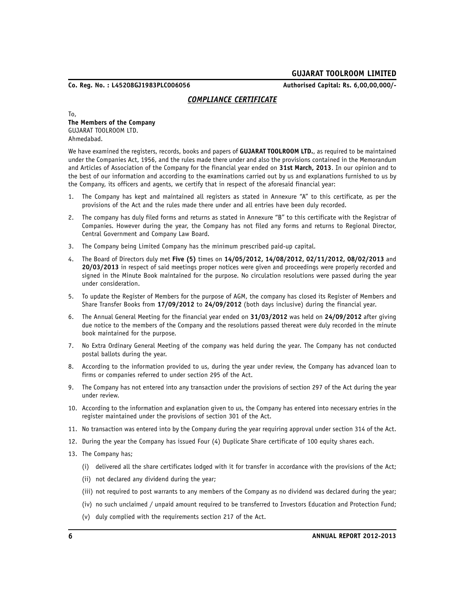**Co. Reg. No. : L45208GJ1983PLC006056 Authorised Capital: Rs. 6,00,00,000/-**

### *COMPLIANCE CERTIFICATE*

To, **The Members of the Company** GUJARAT TOOLROOM LTD. Ahmedabad.

We have examined the registers, records, books and papers of **GUJARAT TOOLROOM LTD.**, as required to be maintained under the Companies Act, 1956, and the rules made there under and also the provisions contained in the Memorandum and Articles of Association of the Company for the financial year ended on **31st March, 2013**. In our opinion and to the best of our information and according to the examinations carried out by us and explanations furnished to us by the Company, its officers and agents, we certify that in respect of the aforesaid financial year:

- 1. The Company has kept and maintained all registers as stated in Annexure "A" to this certificate, as per the provisions of the Act and the rules made there under and all entries have been duly recorded.
- 2. The company has duly filed forms and returns as stated in Annexure "B" to this certificate with the Registrar of Companies. However during the year, the Company has not filed any forms and returns to Regional Director, Central Government and Company Law Board.
- 3. The Company being Limited Company has the minimum prescribed paid-up capital.
- 4. The Board of Directors duly met **Five (5)** times on **14/05/2012, 14/08/2012, 02/11/2012, 08/02/2013** and **20/03/2013** in respect of said meetings proper notices were given and proceedings were properly recorded and signed in the Minute Book maintained for the purpose. No circulation resolutions were passed during the year under consideration.
- 5. To update the Register of Members for the purpose of AGM, the company has closed its Register of Members and Share Transfer Books from **17/09/2012** to **24/09/2012** (both days inclusive) during the financial year.
- 6. The Annual General Meeting for the financial year ended on **31/03/2012** was held on **24/09/2012** after giving due notice to the members of the Company and the resolutions passed thereat were duly recorded in the minute book maintained for the purpose.
- 7. No Extra Ordinary General Meeting of the company was held during the year. The Company has not conducted postal ballots during the year.
- 8. According to the information provided to us, during the year under review, the Company has advanced loan to firms or companies referred to under section 295 of the Act.
- 9. The Company has not entered into any transaction under the provisions of section 297 of the Act during the year under review.
- 10. According to the information and explanation given to us, the Company has entered into necessary entries in the register maintained under the provisions of section 301 of the Act.
- 11. No transaction was entered into by the Company during the year requiring approval under section 314 of the Act.
- 12. During the year the Company has issued Four (4) Duplicate Share certificate of 100 equity shares each.
- 13. The Company has;
	- (i) delivered all the share certificates lodged with it for transfer in accordance with the provisions of the Act;
	- (ii) not declared any dividend during the year;
	- (iii) not required to post warrants to any members of the Company as no dividend was declared during the year;
	- (iv) no such unclaimed / unpaid amount required to be transferred to Investors Education and Protection Fund;
	- (v) duly complied with the requirements section 217 of the Act.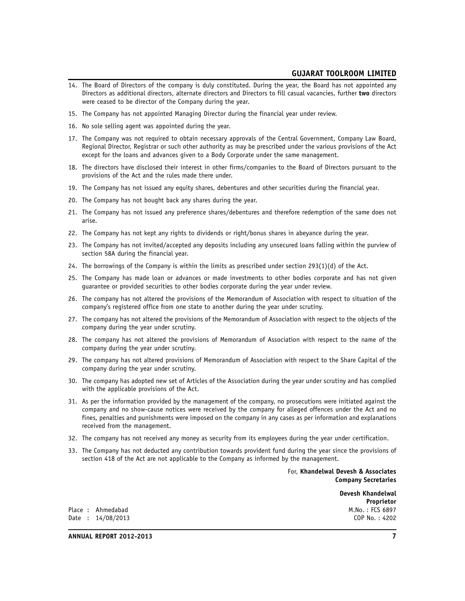- 14. The Board of Directors of the company is duly constituted. During the year, the Board has not appointed any Directors as additional directors, alternate directors and Directors to fill casual vacancies, further **two** directors were ceased to be director of the Company during the year.
- 15. The Company has not appointed Managing Director during the financial year under review.
- 16. No sole selling agent was appointed during the year.
- 17. The Company was not required to obtain necessary approvals of the Central Government, Company Law Board, Regional Director, Registrar or such other authority as may be prescribed under the various provisions of the Act except for the loans and advances given to a Body Corporate under the same management.
- 18. The directors have disclosed their interest in other firms/companies to the Board of Directors pursuant to the provisions of the Act and the rules made there under.
- 19. The Company has not issued any equity shares, debentures and other securities during the financial year.
- 20. The Company has not bought back any shares during the year.
- 21. The Company has not issued any preference shares/debentures and therefore redemption of the same does not arise.
- 22. The Company has not kept any rights to dividends or right/bonus shares in abeyance during the year.
- 23. The Company has not invited/accepted any deposits including any unsecured loans falling within the purview of section 58A during the financial year.
- 24. The borrowings of the Company is within the limits as prescribed under section 293(1)(d) of the Act.
- 25. The Company has made loan or advances or made investments to other bodies corporate and has not given guarantee or provided securities to other bodies corporate during the year under review.
- 26. The company has not altered the provisions of the Memorandum of Association with respect to situation of the company's registered office from one state to another during the year under scrutiny.
- 27. The company has not altered the provisions of the Memorandum of Association with respect to the objects of the company during the year under scrutiny.
- 28. The company has not altered the provisions of Memorandum of Association with respect to the name of the company during the year under scrutiny.
- 29. The company has not altered provisions of Memorandum of Association with respect to the Share Capital of the company during the year under scrutiny.
- 30. The company has adopted new set of Articles of the Association during the year under scrutiny and has complied with the applicable provisions of the Act.
- 31. As per the information provided by the management of the company, no prosecutions were initiated against the company and no show-cause notices were received by the company for alleged offences under the Act and no fines, penalties and punishments were imposed on the company in any cases as per information and explanations received from the management.
- 32. The company has not received any money as security from its employees during the year under certification.
- 33. The Company has not deducted any contribution towards provident fund during the year since the provisions of section 418 of the Act are not applicable to the Company as informed by the management.

For, **Khandelwal Devesh & Associates Company Secretaries**

> **Devesh Khandelwal Proprietor**<br>M.No.: FCS 6897

Place : Ahmedabad M.No. : FCS 6897 Date : 14/08/2013

**ANNUAL REPORT 2012-2013 7**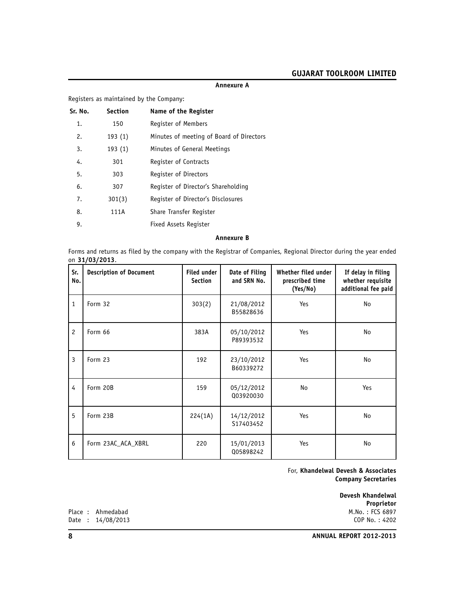|         |                | Registers as maintained by the Company:  |  |
|---------|----------------|------------------------------------------|--|
| Sr. No. | <b>Section</b> | Name of the Register                     |  |
| 1.      | 150            | Register of Members                      |  |
| 2.      | 193(1)         | Minutes of meeting of Board of Directors |  |
| 3.      | 193(1)         | Minutes of General Meetings              |  |
| 4.      | 301            | Register of Contracts                    |  |
| 5.      | 303            | Register of Directors                    |  |
| 6.      | 307            | Register of Director's Shareholding      |  |
| 7.      | 301(3)         | Register of Director's Disclosures       |  |
| 8.      | 111A           | Share Transfer Register                  |  |
| 9.      |                | <b>Fixed Assets Register</b>             |  |
|         |                |                                          |  |

**Annexure A**

#### **Annexure B**

Forms and returns as filed by the company with the Registrar of Companies, Regional Director during the year ended on **31/03/2013**.

| Sr.<br>No.   | <b>Description of Document</b> | <b>Filed under</b><br><b>Section</b> | Date of Filing<br>and SRN No. | Whether filed under<br>prescribed time<br>(Yes/No) | If delay in filing<br>whether requisite<br>additional fee paid |
|--------------|--------------------------------|--------------------------------------|-------------------------------|----------------------------------------------------|----------------------------------------------------------------|
| $\mathbf{1}$ | Form 32                        | 303(2)                               | 21/08/2012<br>B55828636       | Yes                                                | No                                                             |
| 2            | Form 66                        | 383A                                 | 05/10/2012<br>P89393532       | Yes                                                | No                                                             |
| 3            | Form 23                        | 192                                  | 23/10/2012<br>B60339272       | Yes                                                | No                                                             |
| 4            | Form 20B                       | 159                                  | 05/12/2012<br>003920030       | No                                                 | Yes                                                            |
| 5            | Form 23B                       | 224(1A)                              | 14/12/2012<br>S17403452       | Yes                                                | No                                                             |
| 6            | Form 23AC ACA XBRL             | 220                                  | 15/01/2013<br>005898242       | Yes                                                | No                                                             |

For, **Khandelwal Devesh & Associates Company Secretaries**

> **Devesh Khandelwal Proprietor**<br>M.No.: FCS 6897

Place : Ahmedabad M.No. : FCS 6897<br>Date : 14/08/2013 COP No. : 4202 Date : 14/08/2013

**8 ANNUAL REPORT 2012-2013**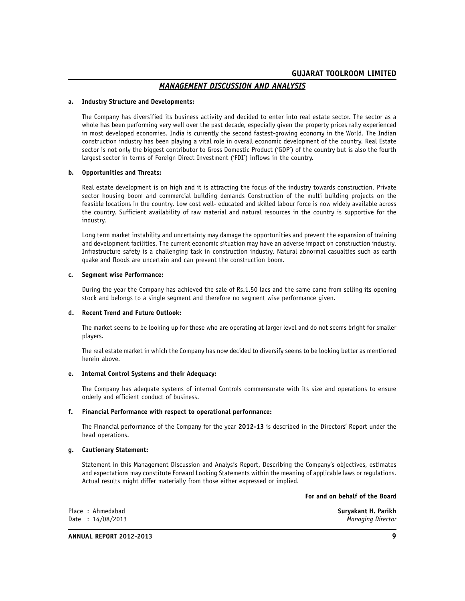# *MANAGEMENT DISCUSSION AND ANALYSIS*

#### **a. Industry Structure and Developments:**

The Company has diversified its business activity and decided to enter into real estate sector. The sector as a whole has been performing very well over the past decade, especially given the property prices rally experienced in most developed economies. India is currently the second fastest-growing economy in the World. The Indian construction industry has been playing a vital role in overall economic development of the country. Real Estate sector is not only the biggest contributor to Gross Domestic Product ('GDP') of the country but is also the fourth largest sector in terms of Foreign Direct Investment ('FDI') inflows in the country.

#### **b. Opportunities and Threats:**

Real estate development is on high and it is attracting the focus of the industry towards construction. Private sector housing boom and commercial building demands Construction of the multi building projects on the feasible locations in the country. Low cost well- educated and skilled labour force is now widely available across the country. Sufficient availability of raw material and natural resources in the country is supportive for the industry.

Long term market instability and uncertainty may damage the opportunities and prevent the expansion of training and development facilities. The current economic situation may have an adverse impact on construction industry. Infrastructure safety is a challenging task in construction industry. Natural abnormal casualties such as earth quake and floods are uncertain and can prevent the construction boom.

#### **c. Segment wise Performance:**

During the year the Company has achieved the sale of Rs.1.50 lacs and the same came from selling its opening stock and belongs to a single segment and therefore no segment wise performance given.

#### **d. Recent Trend and Future Outlook:**

The market seems to be looking up for those who are operating at larger level and do not seems bright for smaller players.

The real estate market in which the Company has now decided to diversify seems to be looking better as mentioned herein above.

#### **e. Internal Control Systems and their Adequacy:**

The Company has adequate systems of internal Controls commensurate with its size and operations to ensure orderly and efficient conduct of business.

#### **f. Financial Performance with respect to operational performance:**

The Financial performance of the Company for the year **2012-13** is described in the Directors' Report under the head operations.

#### **g. Cautionary Statement:**

Statement in this Management Discussion and Analysis Report, Describing the Company's objectives, estimates and expectations may constitute Forward Looking Statements within the meaning of applicable laws or regulations. Actual results might differ materially from those either expressed or implied.

#### **For and on behalf of the Board**

|  | Place: Ahmedabad   | Survakant H. Parikh |
|--|--------------------|---------------------|
|  | Date: $14/08/2013$ | Managing Director   |

**ANNUAL REPORT 2012-2013 9**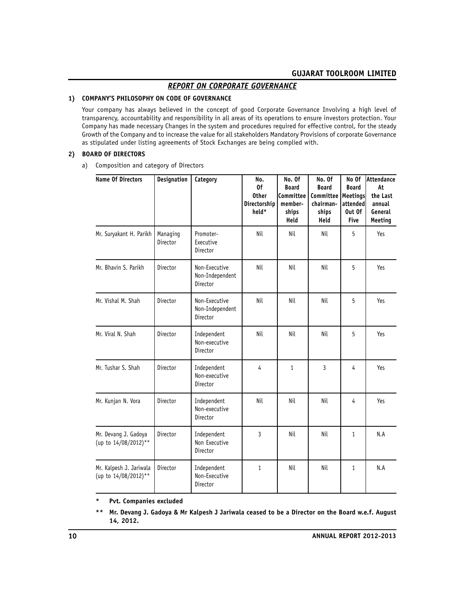# *REPORT ON CORPORATE GOVERNANCE*

# **1) COMPANY'S PHILOSOPHY ON CODE OF GOVERNANCE**

Your company has always believed in the concept of good Corporate Governance Involving a high level of transparency, accountability and responsibility in all areas of its operations to ensure investors protection. Your Company has made necessary Changes in the system and procedures required for effective control, for the steady Growth of the Company and to increase the value for all stakeholders Mandatory Provisions of corporate Governance as stipulated under listing agreements of Stock Exchanges are being complied with.

#### **2) BOARD OF DIRECTORS**

a) Composition and category of Directors

| <b>Name Of Directors</b>                        | <b>Designation</b>   | Category                                     | No.<br>0f<br><b>Other</b><br>Directorship<br>held* | No. Of<br><b>Board</b><br>Committee<br>member-<br>ships<br>Held | No. Of<br><b>Board</b><br>Committee<br>chairman-<br>ships<br>Held | No Of<br><b>Board</b><br><b>Meetings</b><br>attended<br>Out Of<br><b>Five</b> | lAttendance<br>At<br>the Last<br>annual<br>General<br>Meeting |
|-------------------------------------------------|----------------------|----------------------------------------------|----------------------------------------------------|-----------------------------------------------------------------|-------------------------------------------------------------------|-------------------------------------------------------------------------------|---------------------------------------------------------------|
| Mr. Suryakant H. Parikh                         | Managing<br>Director | Promoter-<br>Executive<br>Director           | Nil                                                | Nil                                                             | Nil                                                               | 5                                                                             | Yes                                                           |
| Mr. Bhavin S. Parikh                            | Director             | Non-Executive<br>Non-Independent<br>Director | Nil                                                | Nil                                                             | Nil                                                               | 5                                                                             | Yes                                                           |
| Mr. Vishal M. Shah                              | Director             | Non-Executive<br>Non-Independent<br>Director | Nil                                                | Nil                                                             | Nil                                                               | 5                                                                             | Yes                                                           |
| Mr. Viral N. Shah                               | Director             | Independent<br>Non-executive<br>Director     | Nil                                                | Nil                                                             | Nil                                                               | 5                                                                             | Yes                                                           |
| Mr. Tushar S. Shah                              | Director             | Independent<br>Non-executive<br>Director     | $\overline{4}$                                     | $\mathbf{1}$                                                    | 3                                                                 | $\overline{4}$                                                                | Yes                                                           |
| Mr. Kunjan N. Vora                              | Director             | Independent<br>Non-executive<br>Director     | Nil                                                | Nil                                                             | Nil                                                               | 4                                                                             | Yes                                                           |
| Mr. Devang J. Gadoya<br>(up to 14/08/2012)**    | Director             | Independent<br>Non Executive<br>Director     | $\mathbf{3}$                                       | Nil                                                             | Nil                                                               | $\mathbf{1}$                                                                  | N.A                                                           |
| Mr. Kalpesh J. Jariwala<br>(up to 14/08/2012)** | Director             | Independent<br>Non-Executive<br>Director     | $\mathbf{1}$                                       | Nil                                                             | Nil                                                               | $\mathbf{1}$                                                                  | N.A                                                           |

**\* Pvt. Companies excluded**

**\*\* Mr. Devang J. Gadoya & Mr Kalpesh J Jariwala ceased to be a Director on the Board w.e.f. August 14, 2012.**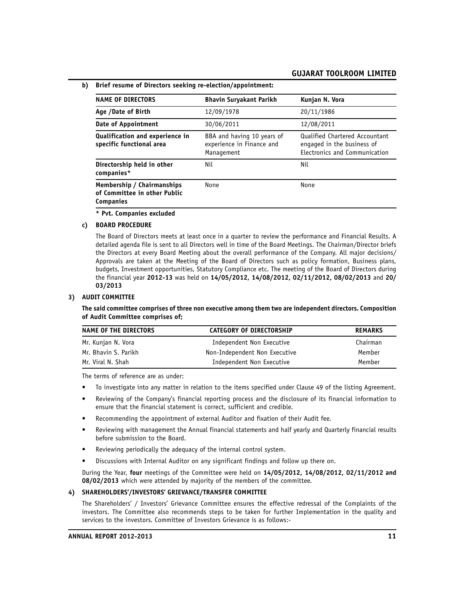| b) Brief resume of Directors seeking re-election/appointment: |  |  |  |  |  |  |  |
|---------------------------------------------------------------|--|--|--|--|--|--|--|
|---------------------------------------------------------------|--|--|--|--|--|--|--|

| <b>NAME OF DIRECTORS</b>                                                       | <b>Bhavin Suryakant Parikh</b>                                        | Kunjan N. Vora                                                                                |
|--------------------------------------------------------------------------------|-----------------------------------------------------------------------|-----------------------------------------------------------------------------------------------|
| Age /Date of Birth                                                             | 12/09/1978                                                            | 20/11/1986                                                                                    |
| Date of Appointment                                                            | 30/06/2011                                                            | 12/08/2011                                                                                    |
| Qualification and experience in<br>specific functional area                    | BBA and having 10 years of<br>experience in Finance and<br>Management | Qualified Chartered Accountant<br>engaged in the business of<br>Electronics and Communication |
| Directorship held in other<br>companies*                                       | Nil                                                                   | Nil                                                                                           |
| Membership / Chairmanships<br>of Committee in other Public<br><b>Companies</b> | None                                                                  | None                                                                                          |

**\* Pvt. Companies excluded**

#### **c) BOARD PROCEDURE**

The Board of Directors meets at least once in a quarter to review the performance and Financial Results. A detailed agenda file is sent to all Directors well in time of the Board Meetings. The Chairman/Director briefs the Directors at every Board Meeting about the overall performance of the Company. All major decisions/ Approvals are taken at the Meeting of the Board of Directors such as policy formation, Business plans, budgets, Investment opportunities, Statutory Compliance etc. The meeting of the Board of Directors during the financial year **2012-13** was held on **14/05/2012, 14/08/2012, 02/11/2012, 08/02/2013** and **20/ 03/2013**

#### **3) AUDIT COMMITTEE**

**The said committee comprises of three non executive among them two are independent directors. Composition of Audit Committee comprises of;**

| NAME OF THE DIRECTORS | CATEGORY OF DIRECTORSHIP      | <b>REMARKS</b> |
|-----------------------|-------------------------------|----------------|
| Mr. Kunjan N. Vora    | Independent Non Executive     | Chairman       |
| Mr. Bhavin S. Parikh  | Non-Independent Non Executive | Member         |
| Mr. Viral N. Shah     | Independent Non Executive     | Member         |

The terms of reference are as under:

- To investigate into any matter in relation to the items specified under Clause 49 of the listing Agreement.
- Reviewing of the Company's financial reporting process and the disclosure of its financial information to ensure that the financial statement is correct, sufficient and credible.
- Recommending the appointment of external Auditor and fixation of their Audit fee.
- Reviewing with management the Annual financial statements and half yearly and Quarterly financial results before submission to the Board.
- Reviewing periodically the adequacy of the internal control system.
- Discussions with Internal Auditor on any significant findings and follow up there on.

During the Year, **four** meetings of the Committee were held on **14/05/2012, 14/08/2012, 02/11/2012 and 08/02/2013** which were attended by majority of the members of the committee.

#### **4) SHAREHOLDERS'/INVESTORS' GRIEVANCE/TRANSFER COMMITTEE**

The Shareholders' / Investors' Grievance Committee ensures the effective redressal of the Complaints of the investors. The Committee also recommends steps to be taken for further Implementation in the quality and services to the investors. Committee of Investors Grievance is as follows:-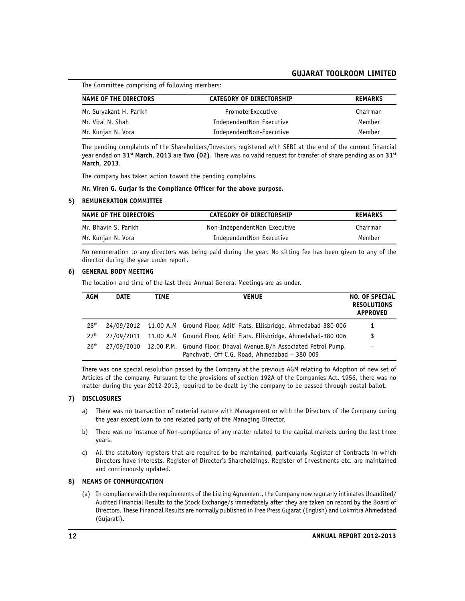The Committee comprising of following members:

| NAME OF THE DIRECTORS   | CATEGORY OF DIRECTORSHIP | <b>REMARKS</b> |
|-------------------------|--------------------------|----------------|
| Mr. Suryakant H. Parikh | PromoterExecutive        | Chairman       |
| Mr. Viral N. Shah       | IndependentNon Executive | Member         |
| Mr. Kunjan N. Vora      | IndependentNon-Executive | Member         |

The pending complaints of the Shareholders/Investors registered with SEBI at the end of the current financial year ended on **31st March, 2013** are **Two (02)**. There was no valid request for transfer of share pending as on **31st March, 2013**.

The company has taken action toward the pending complains.

#### **Mr. Viren G. Gurjar is the Compliance Officer for the above purpose.**

#### **5) REMUNERATION COMMITTEE**

| NAME OF THE DIRECTORS | <b>CATEGORY OF DIRECTORSHIP</b> | <b>REMARKS</b> |  |
|-----------------------|---------------------------------|----------------|--|
| Mr. Bhavin S. Parikh  | Non-IndependentNon Executive    | Chairman       |  |
| Mr. Kunjan N. Vora    | IndependentNon Executive        | Member         |  |

No remuneration to any directors was being paid during the year. No sitting fee has been given to any of the director during the year under report.

#### **6) GENERAL BODY MEETING**

The location and time of the last three Annual General Meetings are as under.

| AGM              | DATE       | TIME | <b>VENUE</b>                                                                                                         | <b>NO. OF SPECIAL</b><br><b>RESOLUTIONS</b><br><b>APPROVED</b> |
|------------------|------------|------|----------------------------------------------------------------------------------------------------------------------|----------------------------------------------------------------|
| 28 <sup>th</sup> |            |      | 24/09/2012 11.00 A.M Ground Floor, Aditi Flats, Ellisbridge, Ahmedabad-380 006                                       | 1                                                              |
| 27 <sup>th</sup> |            |      | 27/09/2011 11.00 A.M Ground Floor, Aditi Flats, Ellisbridge, Ahmedabad-380 006                                       | 3                                                              |
| 26 <sup>th</sup> | 27/09/2010 |      | 12.00 P.M. Ground Floor, Dhaval Avenue, B/h Associated Petrol Pump,<br>Panchvati, Off C.G. Road, Ahmedabad - 380 009 | $\overline{\phantom{0}}$                                       |

There was one special resolution passed by the Company at the previous AGM relating to Adoption of new set of Articles of the company. Pursuant to the provisions of section 192A of the Companies Act, 1956, there was no matter during the year 2012-2013, required to be dealt by the company to be passed through postal ballot.

#### **7) DISCLOSURES**

- a) There was no transaction of material nature with Management or with the Directors of the Company during the year except loan to one related party of the Managing Director.
- b) There was no instance of Non-compliance of any matter related to the capital markets during the last three years.
- c) All the statutory registers that are required to be maintained, particularly Register of Contracts in which Directors have interests, Register of Director's Shareholdings, Register of Investments etc. are maintained and continuously updated.

# **8) MEANS OF COMMUNICATION**

(a) In compliance with the requirements of the Listing Agreement, the Company now regularly intimates Unaudited/ Audited Financial Results to the Stock Exchange/s immediately after they are taken on record by the Board of Directors. These Financial Results are normally published in Free Press Gujarat (English) and Lokmitra Ahmedabad (Gujarati).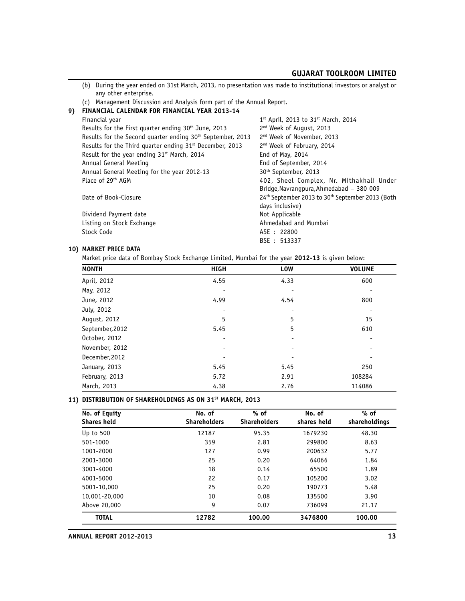- (b) During the year ended on 31st March, 2013, no presentation was made to institutional investors or analyst or any other enterprise.
- (c) Management Discussion and Analysis form part of the Annual Report.

| 9) | FINANCIAL CALENDAR FOR FINANCIAL YEAR 2013-14                          |                                                                                      |
|----|------------------------------------------------------------------------|--------------------------------------------------------------------------------------|
|    | Financial year                                                         | $1^{st}$ April, 2013 to 31st March, 2014                                             |
|    | Results for the First quarter ending 30 <sup>th</sup> June, 2013       | 2 <sup>nd</sup> Week of August, 2013                                                 |
|    | Results for the Second quarter ending 30 <sup>th</sup> September, 2013 | 2 <sup>nd</sup> Week of November, 2013                                               |
|    | Results for the Third quarter ending 31 <sup>st</sup> December, 2013   | 2 <sup>nd</sup> Week of February, 2014                                               |
|    | Result for the year ending 31 <sup>st</sup> March, 2014                | End of May, 2014                                                                     |
|    | Annual General Meeting                                                 | End of September, 2014                                                               |
|    | Annual General Meeting for the year 2012-13                            | 30 <sup>th</sup> September, 2013                                                     |
|    | Place of 29 <sup>th</sup> AGM                                          | 402, Sheel Complex, Nr. Mithakhali Under<br>Bridge, Navrangpura, Ahmedabad - 380 009 |
|    | Date of Book-Closure                                                   | 24th September 2013 to 30th September 2013 (Both<br>days inclusive)                  |
|    | Dividend Payment date                                                  | Not Applicable                                                                       |
|    | Listing on Stock Exchange                                              | Ahmedabad and Mumbai                                                                 |
|    | Stock Code                                                             | ASE : 22800                                                                          |
|    |                                                                        | BSE : 513337                                                                         |
|    |                                                                        |                                                                                      |

#### **10) MARKET PRICE DATA**

Market price data of Bombay Stock Exchange Limited, Mumbai for the year **2012-13** is given below:

| <b>MONTH</b>    | <b>HIGH</b> | LOW  | <b>VOLUME</b> |
|-----------------|-------------|------|---------------|
| April, 2012     | 4.55        | 4.33 | 600           |
| May, 2012       |             |      |               |
| June, 2012      | 4.99        | 4.54 | 800           |
| July, 2012      |             |      |               |
| August, 2012    | 5           | 5    | 15            |
| September, 2012 | 5.45        | 5    | 610           |
| October, 2012   |             |      |               |
| November, 2012  |             |      |               |
| December, 2012  |             |      |               |
| January, 2013   | 5.45        | 5.45 | 250           |
| February, 2013  | 5.72        | 2.91 | 108284        |
| March, 2013     | 4.38        | 2.76 | 114086        |

#### **11) DISTRIBUTION OF SHAREHOLDINGS AS ON 31ST MARCH, 2013**

| No. of Equity<br>Shares held | No. of<br><b>Shareholders</b> | $%$ of<br><b>Shareholders</b> | No. of<br>shares held | $%$ of<br>shareholdings |
|------------------------------|-------------------------------|-------------------------------|-----------------------|-------------------------|
| Up to 500                    | 12187                         | 95.35                         | 1679230               | 48.30                   |
| 501-1000                     | 359                           | 2.81                          | 299800                | 8.63                    |
| 1001-2000                    | 127                           | 0.99                          | 200632                | 5.77                    |
| 2001-3000                    | 25                            | 0.20                          | 64066                 | 1.84                    |
| 3001-4000                    | 18                            | 0.14                          | 65500                 | 1.89                    |
| 4001-5000                    | 22                            | 0.17                          | 105200                | 3.02                    |
| 5001-10,000                  | 25                            | 0.20                          | 190773                | 5.48                    |
| 10,001-20,000                | 10                            | 0.08                          | 135500                | 3.90                    |
| Above 20,000                 | 9                             | 0.07                          | 736099                | 21.17                   |
| <b>TOTAL</b>                 | 12782                         | 100.00                        | 3476800               | 100.00                  |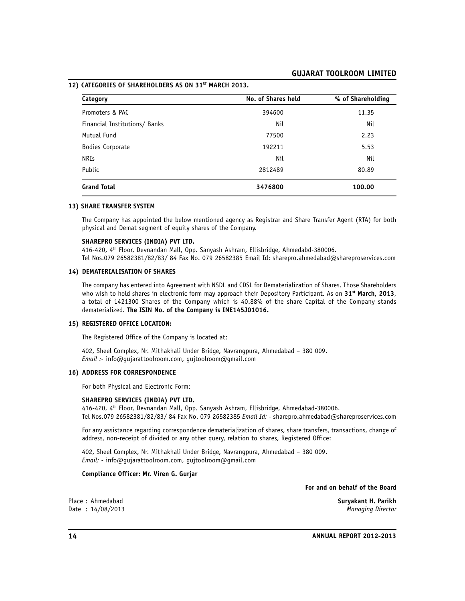**12) CATEGORIES OF SHAREHOLDERS AS ON 31ST MARCH 2013.**

| Category                      | No. of Shares held | % of Shareholding |
|-------------------------------|--------------------|-------------------|
| Promoters & PAC               | 394600             | 11.35             |
| Financial Institutions/ Banks | Nil                | Nil               |
| Mutual Fund                   | 77500              | 2.23              |
| Bodies Corporate              | 192211             | 5.53              |
| <b>NRIs</b>                   | Nil                | Nil               |
| Public                        | 2812489            | 80.89             |
| <b>Grand Total</b>            | 3476800            | 100.00            |

#### **13) SHARE TRANSFER SYSTEM**

The Company has appointed the below mentioned agency as Registrar and Share Transfer Agent (RTA) for both physical and Demat segment of equity shares of the Company.

#### **SHAREPRO SERVICES (INDIA) PVT LTD.**

416-420, 4<sup>th</sup> Floor, Devnandan Mall, Opp. Sanyash Ashram, Ellisbridge, Ahmedabd-380006. Tel Nos.079 26582381/82/83/ 84 Fax No. 079 26582385 Email Id: sharepro.ahmedabad@shareproservices.com

#### **14) DEMATERIALISATION OF SHARES**

The company has entered into Agreement with NSDL and CDSL for Dematerialization of Shares. Those Shareholders who wish to hold shares in electronic form may approach their Depository Participant. As on **31st March, 2013**, a total of 1421300 Shares of the Company which is 40.88% of the share Capital of the Company stands dematerialized. **The ISIN No. of the Company is INE145J01016.**

#### **15) REGISTERED OFFICE LOCATION:**

The Registered Office of the Company is located at;

402, Sheel Complex, Nr. Mithakhali Under Bridge, Navrangpura, Ahmedabad – 380 009. *Email :-* info@gujarattoolroom.com, gujtoolroom@gmail.com

#### **16) ADDRESS FOR CORRESPONDENCE**

For both Physical and Electronic Form:

#### **SHAREPRO SERVICES (INDIA) PVT LTD.**

416-420, 4th Floor, Devnandan Mall, Opp. Sanyash Ashram, Ellisbridge, Ahmedabad-380006. Tel Nos.079 26582381/82/83/ 84 Fax No. 079 26582385 *Email Id: -* sharepro.ahmedabad@shareproservices.com

For any assistance regarding correspondence dematerialization of shares, share transfers, transactions, change of address, non-receipt of divided or any other query, relation to shares, Registered Office:

402, Sheel Complex, Nr. Mithakhali Under Bridge, Navrangpura, Ahmedabad – 380 009. *Email: -* info@gujarattoolroom.com, gujtoolroom@gmail.com

#### **Compliance Officer: Mr. Viren G. Gurjar**

**For and on behalf of the Board**

Place : Ahmedabad **Suryakant H. Parikh**

Date : 14/08/2013 *Managing Director*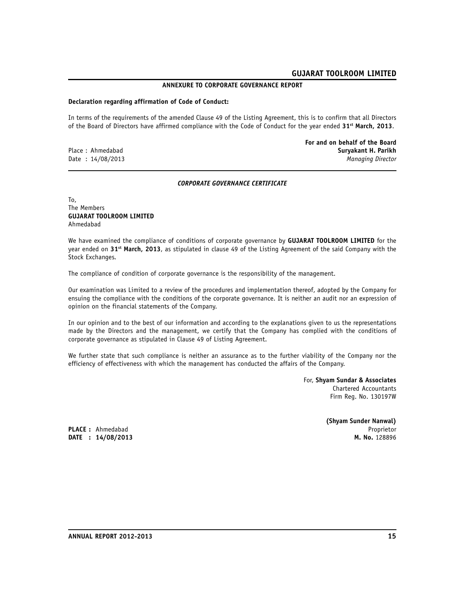#### **ANNEXURE TO CORPORATE GOVERNANCE REPORT**

#### **Declaration regarding affirmation of Code of Conduct:**

In terms of the requirements of the amended Clause 49 of the Listing Agreement, this is to confirm that all Directors of the Board of Directors have affirmed compliance with the Code of Conduct for the year ended **31st March, 2013**.

**For and on behalf of the Board** Place : Ahmedabad **Suryakant H. Parikh** Date : 14/08/2013 *Managing Director*

#### *CORPORATE GOVERNANCE CERTIFICATE*

To, The Members **GUJARAT TOOLROOM LIMITED** Ahmedabad

We have examined the compliance of conditions of corporate governance by **GUJARAT TOOLROOM LIMITED** for the year ended on **31st March, 2013**, as stipulated in clause 49 of the Listing Agreement of the said Company with the Stock Exchanges.

The compliance of condition of corporate governance is the responsibility of the management.

Our examination was Limited to a review of the procedures and implementation thereof, adopted by the Company for ensuing the compliance with the conditions of the corporate governance. It is neither an audit nor an expression of opinion on the financial statements of the Company.

In our opinion and to the best of our information and according to the explanations given to us the representations made by the Directors and the management, we certify that the Company has complied with the conditions of corporate governance as stipulated in Clause 49 of Listing Agreement.

We further state that such compliance is neither an assurance as to the further viability of the Company nor the efficiency of effectiveness with which the management has conducted the affairs of the Company.

> For, **Shyam Sundar & Associates** Chartered Accountants Firm Reg. No. 130197W

**(Shyam Sunder Nanwal) PLACE :** Ahmedabad Proprietor

**DATE** : 14/08/2013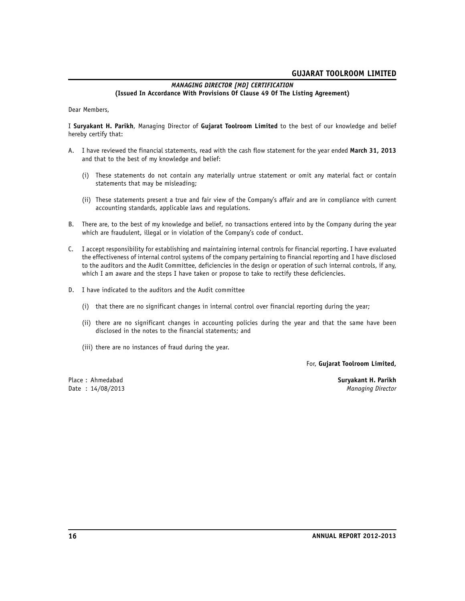#### *MANAGING DIRECTOR [MD] CERTIFICATION* **(Issued In Accordance With Provisions Of Clause 49 Of The Listing Agreement)**

Dear Members,

I **Suryakant H. Parikh**, Managing Director of **Gujarat Toolroom Limited** to the best of our knowledge and belief hereby certify that:

- A. I have reviewed the financial statements, read with the cash flow statement for the year ended **March 31, 2013** and that to the best of my knowledge and belief:
	- (i) These statements do not contain any materially untrue statement or omit any material fact or contain statements that may be misleading;
	- (ii) These statements present a true and fair view of the Company's affair and are in compliance with current accounting standards, applicable laws and regulations.
- B. There are, to the best of my knowledge and belief, no transactions entered into by the Company during the year which are fraudulent, illegal or in violation of the Company's code of conduct.
- C. I accept responsibility for establishing and maintaining internal controls for financial reporting. I have evaluated the effectiveness of internal control systems of the company pertaining to financial reporting and I have disclosed to the auditors and the Audit Committee, deficiencies in the design or operation of such internal controls, if any, which I am aware and the steps I have taken or propose to take to rectify these deficiencies.
- D. I have indicated to the auditors and the Audit committee
	- (i) that there are no significant changes in internal control over financial reporting during the year;
	- (ii) there are no significant changes in accounting policies during the year and that the same have been disclosed in the notes to the financial statements; and
	- (iii) there are no instances of fraud during the year.

For, **Gujarat Toolroom Limited,**

Date : 14/08/2013

Place : Ahmedabad **Suryakant H. Parikh**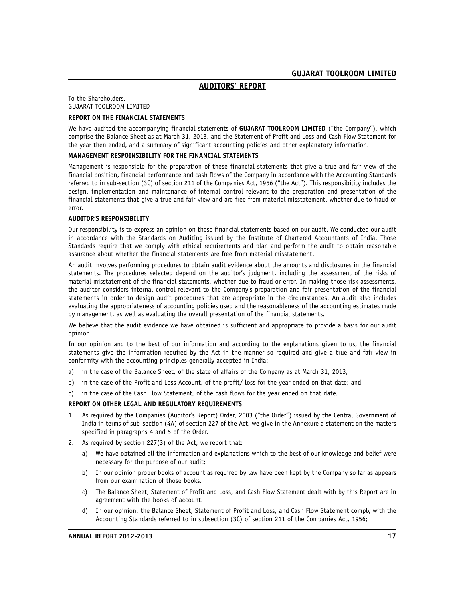#### **AUDITORS' REPORT**

To the Shareholders, GUJARAT TOOLROOM LIMITED

#### **REPORT ON THE FINANCIAL STATEMENTS**

We have audited the accompanying financial statements of **GUJARAT TOOLROOM LIMITED** ("the Company"), which comprise the Balance Sheet as at March 31, 2013, and the Statement of Profit and Loss and Cash Flow Statement for the year then ended, and a summary of significant accounting policies and other explanatory information.

#### **MANAGEMENT RESPOINSIBILITY FOR THE FINANCIAL STATEMENTS**

Management is responsible for the preparation of these financial statements that give a true and fair view of the financial position, financial performance and cash flows of the Company in accordance with the Accounting Standards referred to in sub-section (3C) of section 211 of the Companies Act, 1956 ("the Act"). This responsibility includes the design, implementation and maintenance of internal control relevant to the preparation and presentation of the financial statements that give a true and fair view and are free from material misstatement, whether due to fraud or error.

#### **AUDITOR'S RESPONSIBILITY**

Our responsibility is to express an opinion on these financial statements based on our audit. We conducted our audit in accordance with the Standards on Auditing issued by the Institute of Chartered Accountants of India. Those Standards require that we comply with ethical requirements and plan and perform the audit to obtain reasonable assurance about whether the financial statements are free from material misstatement.

An audit involves performing procedures to obtain audit evidence about the amounts and disclosures in the financial statements. The procedures selected depend on the auditor's judgment, including the assessment of the risks of material misstatement of the financial statements, whether due to fraud or error. In making those risk assessments, the auditor considers internal control relevant to the Company's preparation and fair presentation of the financial statements in order to design audit procedures that are appropriate in the circumstances. An audit also includes evaluating the appropriateness of accounting policies used and the reasonableness of the accounting estimates made by management, as well as evaluating the overall presentation of the financial statements.

We believe that the audit evidence we have obtained is sufficient and appropriate to provide a basis for our audit opinion.

In our opinion and to the best of our information and according to the explanations given to us, the financial statements give the information required by the Act in the manner so required and give a true and fair view in conformity with the accounting principles generally accepted in India:

- a) in the case of the Balance Sheet, of the state of affairs of the Company as at March 31, 2013;
- b) in the case of the Profit and Loss Account, of the profit/loss for the year ended on that date; and
- c) in the case of the Cash Flow Statement, of the cash flows for the year ended on that date.

#### **REPORT ON OTHER LEGAL AND REGULATORY REQUIREMENTS**

- 1. As required by the Companies (Auditor's Report) Order, 2003 ("the Order") issued by the Central Government of India in terms of sub-section (4A) of section 227 of the Act, we give in the Annexure a statement on the matters specified in paragraphs 4 and 5 of the Order.
- 2. As required by section 227(3) of the Act, we report that:
	- a) We have obtained all the information and explanations which to the best of our knowledge and belief were necessary for the purpose of our audit;
	- b) In our opinion proper books of account as required by law have been kept by the Company so far as appears from our examination of those books.
	- c) The Balance Sheet, Statement of Profit and Loss, and Cash Flow Statement dealt with by this Report are in agreement with the books of account.
	- d) In our opinion, the Balance Sheet, Statement of Profit and Loss, and Cash Flow Statement comply with the Accounting Standards referred to in subsection (3C) of section 211 of the Companies Act, 1956;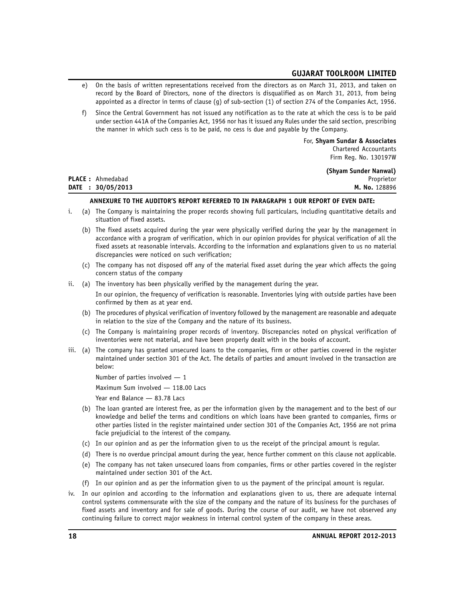- e) On the basis of written representations received from the directors as on March 31, 2013, and taken on record by the Board of Directors, none of the directors is disqualified as on March 31, 2013, from being appointed as a director in terms of clause (g) of sub-section (1) of section 274 of the Companies Act, 1956.
- f) Since the Central Government has not issued any notification as to the rate at which the cess is to be paid under section 441A of the Companies Act, 1956 nor has it issued any Rules under the said section, prescribing the manner in which such cess is to be paid, no cess is due and payable by the Company.

For, **Shyam Sundar & Associates** Chartered Accountants Firm Reg. No. 130197W

**(Shyam Sunder Nanwal)**

| <b>PLACE:</b> Ahmedabad | Proprietor    |
|-------------------------|---------------|
| DATE : 30/05/2013       | M. No. 128896 |

# **ANNEXURE TO THE AUDITOR'S REPORT REFERRED TO IN PARAGRAPH 1 OUR REPORT OF EVEN DATE:**

- i. (a) The Company is maintaining the proper records showing full particulars, including quantitative details and situation of fixed assets.
	- (b) The fixed assets acquired during the year were physically verified during the year by the management in accordance with a program of verification, which in our opinion provides for physical verification of all the fixed assets at reasonable intervals. According to the information and explanations given to us no material discrepancies were noticed on such verification;
	- (c) The company has not disposed off any of the material fixed asset during the year which affects the going concern status of the company
- ii. (a) The inventory has been physically verified by the management during the year.

In our opinion, the frequency of verification is reasonable. Inventories lying with outside parties have been confirmed by them as at year end.

- (b) The procedures of physical verification of inventory followed by the management are reasonable and adequate in relation to the size of the Company and the nature of its business.
- (c) The Company is maintaining proper records of inventory. Discrepancies noted on physical verification of inventories were not material, and have been properly dealt with in the books of account.
- iii. (a) The company has granted unsecured loans to the companies, firm or other parties covered in the register maintained under section 301 of the Act. The details of parties and amount involved in the transaction are below:
	- Number of parties involved 1

Maximum Sum involved — 118.00 Lacs

Year end Balance — 83.78 Lacs

- (b) The loan granted are interest free, as per the information given by the management and to the best of our knowledge and belief the terms and conditions on which loans have been granted to companies, firms or other parties listed in the register maintained under section 301 of the Companies Act, 1956 are not prima facie prejudicial to the interest of the company.
- (c) In our opinion and as per the information given to us the receipt of the principal amount is regular.
- (d) There is no overdue principal amount during the year, hence further comment on this clause not applicable.
- (e) The company has not taken unsecured loans from companies, firms or other parties covered in the register maintained under section 301 of the Act.
- (f) In our opinion and as per the information given to us the payment of the principal amount is regular.
- iv. In our opinion and according to the information and explanations given to us, there are adequate internal control systems commensurate with the size of the company and the nature of its business for the purchases of fixed assets and inventory and for sale of goods. During the course of our audit, we have not observed any continuing failure to correct major weakness in internal control system of the company in these areas.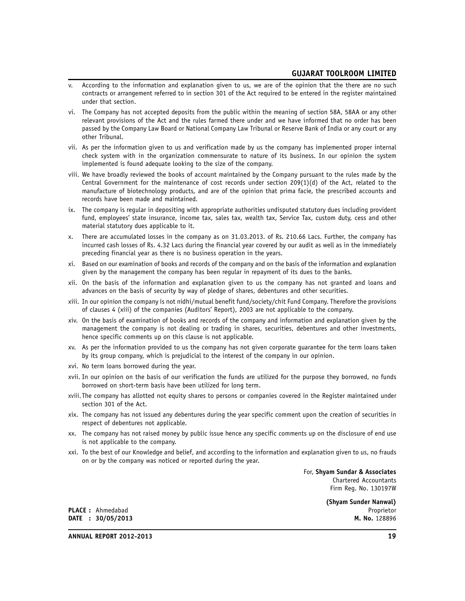- v. According to the information and explanation given to us, we are of the opinion that the there are no such contracts or arrangement referred to in section 301 of the Act required to be entered in the register maintained under that section.
- vi. The Company has not accepted deposits from the public within the meaning of section 58A, 58AA or any other relevant provisions of the Act and the rules farmed there under and we have informed that no order has been passed by the Company Law Board or National Company Law Tribunal or Reserve Bank of India or any court or any other Tribunal.
- vii. As per the information given to us and verification made by us the company has implemented proper internal check system with in the organization commensurate to nature of its business. In our opinion the system implemented is found adequate looking to the size of the company.
- viii. We have broadly reviewed the books of account maintained by the Company pursuant to the rules made by the Central Government for the maintenance of cost records under section 209(1)(d) of the Act, related to the manufacture of biotechnology products, and are of the opinion that prima facie, the prescribed accounts and records have been made and maintained.
- ix. The company is regular in depositing with appropriate authorities undisputed statutory dues including provident fund, employees' state insurance, income tax, sales tax, wealth tax, Service Tax, custom duty, cess and other material statutory dues applicable to it.
- x. There are accumulated losses in the company as on 31.03.2013. of Rs. 210.66 Lacs. Further, the company has incurred cash losses of Rs. 4.32 Lacs during the financial year covered by our audit as well as in the immediately preceding financial year as there is no business operation in the years.
- xi. Based on our examination of books and records of the company and on the basis of the information and explanation given by the management the company has been regular in repayment of its dues to the banks.
- xii. On the basis of the information and explanation given to us the company has not granted and loans and advances on the basis of security by way of pledge of shares, debentures and other securities.
- xiii. In our opinion the company is not nidhi/mutual benefit fund/society/chit Fund Company. Therefore the provisions of clauses 4 (xiii) of the companies (Auditors' Report), 2003 are not applicable to the company.
- xiv. On the basis of examination of books and records of the company and information and explanation given by the management the company is not dealing or trading in shares, securities, debentures and other investments, hence specific comments up on this clause is not applicable.
- xv. As per the information provided to us the company has not given corporate guarantee for the term loans taken by its group company, which is prejudicial to the interest of the company in our opinion.
- xvi. No term loans borrowed during the year.
- xvii. In our opinion on the basis of our verification the funds are utilized for the purpose they borrowed, no funds borrowed on short-term basis have been utilized for long term.
- xviii. The company has allotted not equity shares to persons or companies covered in the Register maintained under section 301 of the Act.
- xix. The company has not issued any debentures during the year specific comment upon the creation of securities in respect of debentures not applicable.
- xx. The company has not raised money by public issue hence any specific comments up on the disclosure of end use is not applicable to the company.
- xxi. To the best of our Knowledge and belief, and according to the information and explanation given to us, no frauds on or by the company was noticed or reported during the year.

For, **Shyam Sundar & Associates** Chartered Accountants Firm Reg. No. 130197W

**(Shyam Sunder Nanwal) PLACE :** Ahmedabad Proprietor

**DATE** : **30/05/2013** 

**ANNUAL REPORT 2012-2013 19**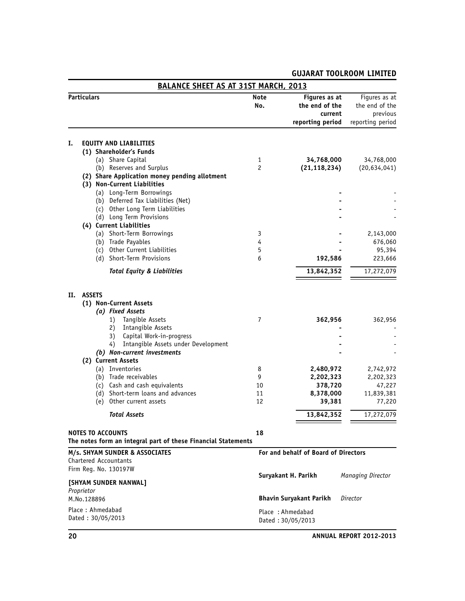|                                                    |                    | <b>BALANCE SHEET AS AT 31ST MARCH, 2013</b>                                                                                                                                                                                                                                                                                                                                                             |                               |                                                                                   |                                                                                   |
|----------------------------------------------------|--------------------|---------------------------------------------------------------------------------------------------------------------------------------------------------------------------------------------------------------------------------------------------------------------------------------------------------------------------------------------------------------------------------------------------------|-------------------------------|-----------------------------------------------------------------------------------|-----------------------------------------------------------------------------------|
|                                                    | <b>Particulars</b> |                                                                                                                                                                                                                                                                                                                                                                                                         | Note<br>No.                   | Figures as at<br>the end of the<br>current<br>reporting period                    | Figures as at<br>the end of the<br>previous<br>reporting period                   |
|                                                    |                    |                                                                                                                                                                                                                                                                                                                                                                                                         |                               |                                                                                   |                                                                                   |
| Ι.                                                 |                    | <b>EQUITY AND LIABILITIES</b><br>(1) Shareholder's Funds<br>(a) Share Capital                                                                                                                                                                                                                                                                                                                           | 1                             | 34,768,000                                                                        | 34,768,000                                                                        |
|                                                    |                    | (b) Reserves and Surplus<br>(2) Share Application money pending allotment<br>(3) Non-Current Liabilities                                                                                                                                                                                                                                                                                                | 2                             | (21, 118, 234)                                                                    | (20, 634, 041)                                                                    |
|                                                    |                    | (a) Long-Term Borrowings<br>(b) Deferred Tax Liabilities (Net)<br>(c) Other Long Term Liabilities                                                                                                                                                                                                                                                                                                       |                               |                                                                                   |                                                                                   |
|                                                    |                    | (d) Long Term Provisions<br>(4) Current Liabilities                                                                                                                                                                                                                                                                                                                                                     |                               |                                                                                   |                                                                                   |
|                                                    |                    | (a) Short-Term Borrowings<br>(b) Trade Payables<br>(c) Other Current Liabilities<br>(d) Short-Term Provisions                                                                                                                                                                                                                                                                                           | 3<br>4<br>5<br>6              | 192,586                                                                           | 2,143,000<br>676,060<br>95,394<br>223,666                                         |
|                                                    |                    | <b>Total Equity &amp; Liabilities</b>                                                                                                                                                                                                                                                                                                                                                                   |                               | 13,842,352                                                                        | 17,272,079                                                                        |
| Н.                                                 | <b>ASSETS</b>      | (1) Non-Current Assets<br>(a) Fixed Assets<br>Tangible Assets<br>1)<br>Intangible Assets<br>2)<br>Capital Work-in-progress<br>3)<br>Intangible Assets under Development<br>4)<br>(b) Non-current investments<br>(2) Current Assets<br>(a) Inventories<br>(b) Trade receivables<br>(c) Cash and cash equivalents<br>(d) Short-term loans and advances<br>(e) Other current assets<br><b>Total Assets</b> | 7<br>8<br>9<br>10<br>11<br>12 | 362,956<br>2,480,972<br>2,202,323<br>378,720<br>8,378,000<br>39,381<br>13,842,352 | 362,956<br>2,742,972<br>2,202,323<br>47,227<br>11,839,381<br>77,220<br>17,272,079 |
|                                                    |                    | <b>NOTES TO ACCOUNTS</b>                                                                                                                                                                                                                                                                                                                                                                                | 18                            |                                                                                   |                                                                                   |
|                                                    |                    | The notes form an integral part of these Financial Statements<br>M/s. SHYAM SUNDER & ASSOCIATES                                                                                                                                                                                                                                                                                                         |                               | For and behalf of Board of Directors                                              |                                                                                   |
|                                                    |                    | Chartered Accountants<br>Firm Reg. No. 130197W                                                                                                                                                                                                                                                                                                                                                          |                               | Suryakant H. Parikh                                                               | Managing Director                                                                 |
| [SHYAM SUNDER NANWAL]<br>Proprietor<br>M.No.128896 |                    |                                                                                                                                                                                                                                                                                                                                                                                                         |                               | <b>Bhavin Suryakant Parikh</b>                                                    | Director                                                                          |
|                                                    |                    | Place: Ahmedabad<br>Dated: 30/05/2013                                                                                                                                                                                                                                                                                                                                                                   |                               | Place: Ahmedabad<br>Dated: 30/05/2013                                             |                                                                                   |

## **20 ANNUAL REPORT 2012-2013**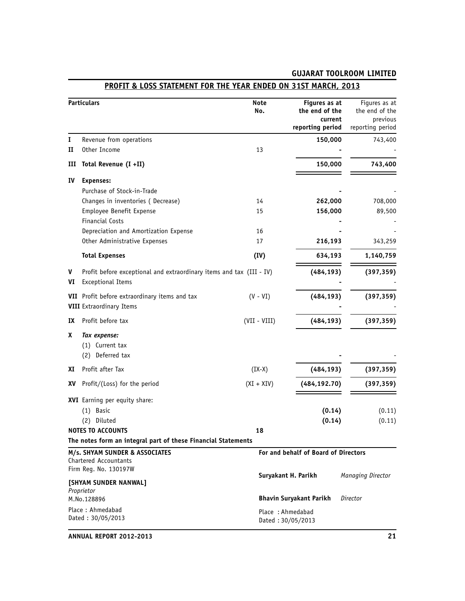|                                                             | Particulars                                                                                      | <b>Note</b><br>No. | Figures as at<br>the end of the<br>current<br>reporting period | Figures as at<br>the end of the<br>previous<br>reporting period |
|-------------------------------------------------------------|--------------------------------------------------------------------------------------------------|--------------------|----------------------------------------------------------------|-----------------------------------------------------------------|
| 1                                                           | Revenue from operations                                                                          |                    | 150,000                                                        | 743,400                                                         |
| п                                                           | Other Income                                                                                     | 13                 |                                                                |                                                                 |
| Ш                                                           | Total Revenue (I +II)                                                                            |                    | 150,000                                                        | 743,400                                                         |
| IV                                                          | <b>Expenses:</b>                                                                                 |                    |                                                                |                                                                 |
|                                                             | Purchase of Stock-in-Trade                                                                       |                    |                                                                |                                                                 |
|                                                             | Changes in inventories (Decrease)                                                                | 14                 | 262,000                                                        | 708,000                                                         |
|                                                             | Employee Benefit Expense                                                                         | 15                 | 156,000                                                        | 89,500                                                          |
|                                                             | <b>Financial Costs</b>                                                                           |                    |                                                                |                                                                 |
|                                                             | Depreciation and Amortization Expense                                                            | 16                 |                                                                |                                                                 |
|                                                             | Other Administrative Expenses                                                                    | 17                 | 216,193                                                        | 343,259                                                         |
|                                                             | <b>Total Expenses</b>                                                                            | (IV)               | 634,193                                                        | 1,140,759                                                       |
| V<br>VI                                                     | Profit before exceptional and extraordinary items and tax (III - IV)<br><b>Exceptional Items</b> |                    | (484, 193)                                                     | (397, 359)                                                      |
|                                                             | VII Profit before extraordinary items and tax<br><b>VIII</b> Extraordinary Items                 | $(V - VI)$         | (484, 193)                                                     | (397, 359)                                                      |
| IX                                                          | Profit before tax                                                                                | $(VII - VIII)$     | (484, 193)                                                     | (397, 359)                                                      |
| x                                                           | Tax expense:<br>(1) Current tax<br>Deferred tax<br>(2)                                           |                    |                                                                |                                                                 |
| XI                                                          | Profit after Tax                                                                                 | $(IX-X)$           | (484, 193)                                                     | (397, 359)                                                      |
| XV                                                          | Profit/(Loss) for the period                                                                     | $(XI + XIV)$       | (484, 192.70)                                                  | (397, 359)                                                      |
|                                                             | XVI Earning per equity share:<br>$(1)$ Basic<br>(2)<br>Diluted<br><b>NOTES TO ACCOUNTS</b>       | 18                 | (0.14)<br>(0.14)                                               | (0.11)<br>(0.11)                                                |
|                                                             | The notes form an integral part of these Financial Statements                                    |                    |                                                                |                                                                 |
|                                                             | M/s. SHYAM SUNDER & ASSOCIATES<br>Chartered Accountants<br>Firm Reg. No. 130197W                 |                    | For and behalf of Board of Directors                           |                                                                 |
|                                                             | [SHYAM SUNDER NANWAL]                                                                            |                    | Suryakant H. Parikh                                            | Managing Director                                               |
| Proprietor<br><b>Bhavin Suryakant Parikh</b><br>M.No.128896 |                                                                                                  | Director           |                                                                |                                                                 |
|                                                             | Place: Ahmedabad<br>Dated: 30/05/2013                                                            | Place: Ahmedabad   | Dated: 30/05/2013                                              |                                                                 |

# **PROFIT & LOSS STATEMENT FOR THE YEAR ENDED ON 31ST MARCH, 2013**

**ANNUAL REPORT 2012-2013 21**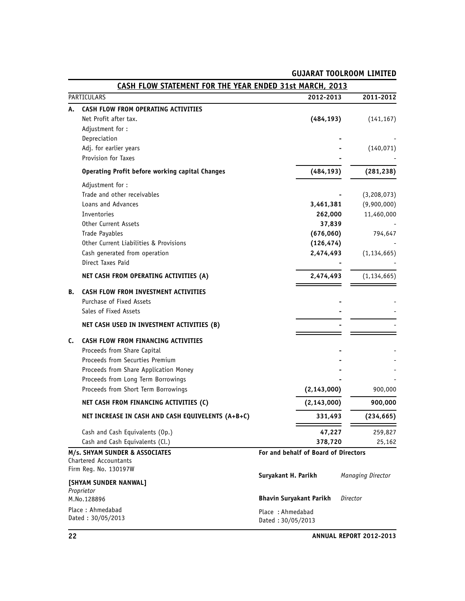|    | CASH FLOW STATEMENT FOR THE YEAR ENDED 31st MARCH, 2013                                                                                                                                                                     |                                                                                                                                               |                                          |
|----|-----------------------------------------------------------------------------------------------------------------------------------------------------------------------------------------------------------------------------|-----------------------------------------------------------------------------------------------------------------------------------------------|------------------------------------------|
|    | PARTICULARS                                                                                                                                                                                                                 | 2012-2013                                                                                                                                     | 2011-2012                                |
| А. | CASH FLOW FROM OPERATING ACTIVITIES<br>Net Profit after tax.<br>Adjustment for:<br>Depreciation<br>Adj. for earlier years                                                                                                   | (484, 193)                                                                                                                                    | (141, 167)<br>(140, 071)                 |
|    | Provision for Taxes<br><b>Operating Profit before working capital Changes</b>                                                                                                                                               | (484, 193)                                                                                                                                    | (281, 238)                               |
|    | Adjustment for:<br>Trade and other receivables<br>Loans and Advances<br>Inventories                                                                                                                                         | 3,461,381<br>262,000                                                                                                                          | (3,208,073)<br>(9,900,000)<br>11,460,000 |
|    | <b>Other Current Assets</b><br>Trade Payables<br>Other Current Liabilities & Provisions<br>Cash generated from operation<br>Direct Taxes Paid                                                                               | 37,839<br>(676,060)<br>(126, 474)<br>2,474,493                                                                                                | 794,647<br>(1, 134, 665)                 |
|    | NET CASH FROM OPERATING ACTIVITIES (A)                                                                                                                                                                                      | 2,474,493                                                                                                                                     | (1, 134, 665)                            |
| В. | CASH FLOW FROM INVESTMENT ACTIVITIES<br>Purchase of Fixed Assets<br>Sales of Fixed Assets                                                                                                                                   |                                                                                                                                               |                                          |
|    | NET CASH USED IN INVESTMENT ACTIVITIES (B)                                                                                                                                                                                  |                                                                                                                                               |                                          |
| C. | CASH FLOW FROM FINANCING ACTIVITIES<br>Proceeds from Share Capital<br>Proceeds from Securties Premium<br>Proceeds from Share Application Money<br>Proceeds from Long Term Borrowings<br>Proceeds from Short Term Borrowings | (2, 143, 000)                                                                                                                                 | 900,000                                  |
|    | NET CASH FROM FINANCING ACTIVITIES (C)                                                                                                                                                                                      | (2, 143, 000)                                                                                                                                 | 900,000                                  |
|    | NET INCREASE IN CASH AND CASH EQUIVELENTS (A+B+C)                                                                                                                                                                           | 331,493                                                                                                                                       | (234, 665)                               |
|    | Cash and Cash Equivalents (Op.)<br>Cash and Cash Equivalents (Cl.)                                                                                                                                                          | 47,227<br>378,720                                                                                                                             | 259,827<br>25,162                        |
|    | M/s. SHYAM SUNDER & ASSOCIATES<br>Chartered Accountants<br>Firm Reg. No. 130197W<br>[SHYAM SUNDER NANWAL]<br>Proprietor<br>M.No.128896<br>Place: Ahmedabad<br>Dated: 30/05/2013                                             | For and behalf of Board of Directors<br>Suryakant H. Parikh<br><b>Bhavin Suryakant Parikh</b><br>Place: Ahmedabad<br>Dated $\cdot$ 30/05/2013 | Managing Director<br>Director            |

Dated : 30/05/2013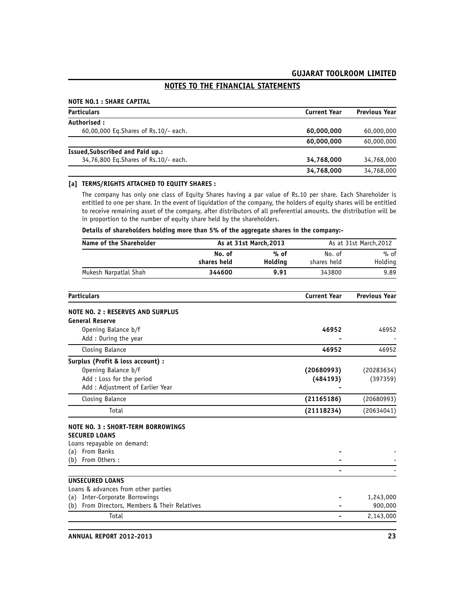# **NOTES TO THE FINANCIAL STATEMENTS**

#### **NOTE NO.1 : SHARE CAPITAL**

| <b>Particulars</b>                     | <b>Current Year</b> | <b>Previous Year</b> |
|----------------------------------------|---------------------|----------------------|
| Authorised:                            |                     |                      |
| 60,00,000 Eq.Shares of Rs.10/- each.   | 60,000,000          | 60,000,000           |
|                                        | 60,000,000          | 60,000,000           |
| Issued, Subscribed and Paid up.:       |                     |                      |
| 34,76,800 Eq. Shares of Rs. 10/- each. | 34.768.000          | 34,768,000           |
|                                        | 34,768,000          | 34,768,000           |

#### **[a] TERMS/RIGHTS ATTACHED TO EQUITY SHARES :**

The company has only one class of Equity Shares having a par value of Rs.10 per share. Each Shareholder is entitled to one per share. In the event of liquidation of the company, the holders of equity shares will be entitled to receive remaining asset of the company, after distributors of all preferential amounts. the distribution will be in proportion to the number of equity share held by the shareholders.

**Details of shareholders holding more than 5% of the aggregate shares in the company:-**

| Name of the Shareholder                          |             | As at 31st March, 2013 | As at 31st March, 2012 |                      |
|--------------------------------------------------|-------------|------------------------|------------------------|----------------------|
|                                                  | No. of      | $%$ of                 | No. of                 | $%$ of               |
|                                                  | shares held | Holding                | shares held            | Holding              |
| Mukesh Narpatlal Shah                            | 344600      | 9.91                   | 343800                 | 9.89                 |
| <b>Particulars</b>                               |             |                        | <b>Current Year</b>    | <b>Previous Year</b> |
| <b>NOTE NO. 2: RESERVES AND SURPLUS</b>          |             |                        |                        |                      |
| <b>General Reserve</b>                           |             |                        |                        |                      |
| Opening Balance b/f<br>Add: During the year      |             |                        | 46952                  | 46952                |
| Closing Balance                                  |             |                        | 46952                  | 46952                |
| Surplus (Profit & loss account) :                |             |                        |                        |                      |
| Opening Balance b/f                              |             |                        | (20680993)             | (20283634)           |
| Add : Loss for the period                        |             |                        | (484193)               | (397359)             |
| Add : Adjustment of Earlier Year                 |             |                        |                        |                      |
| Closing Balance                                  |             |                        | (21165186)             | (20680993)           |
| Total                                            |             |                        | (21118234)             | (20634041)           |
| NOTE NO. 3 : SHORT-TERM BORROWINGS               |             |                        |                        |                      |
| <b>SECURED LOANS</b>                             |             |                        |                        |                      |
| Loans repayable on demand:                       |             |                        |                        |                      |
| From Banks<br>(a)                                |             |                        |                        |                      |
| From Others:<br>(b)                              |             |                        |                        |                      |
| <b>UNSECURED LOANS</b>                           |             |                        |                        |                      |
| Loans & advances from other parties              |             |                        |                        |                      |
| <b>Inter-Corporate Borrowings</b><br>(a)         |             |                        |                        | 1,243,000            |
| From Directors, Members & Their Relatives<br>(b) |             |                        |                        | 900,000              |
| Total                                            |             |                        |                        | 2,143,000            |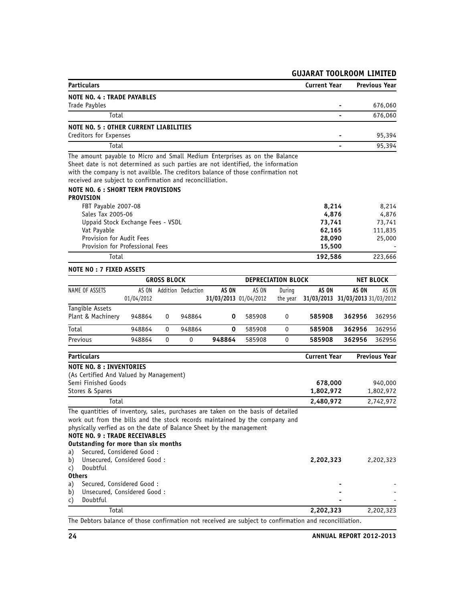| <b>Particulars</b>                                                                                                                             |            |                    |                    |                       |        |                           | <b>Current Year</b>              |        | <b>Previous Year</b> |
|------------------------------------------------------------------------------------------------------------------------------------------------|------------|--------------------|--------------------|-----------------------|--------|---------------------------|----------------------------------|--------|----------------------|
| <b>NOTE NO. 4 : TRADE PAYABLES</b>                                                                                                             |            |                    |                    |                       |        |                           |                                  |        |                      |
| Trade Paybles                                                                                                                                  |            |                    |                    |                       |        |                           | 676,060                          |        |                      |
| Total                                                                                                                                          |            |                    |                    |                       |        |                           |                                  |        | 676,060              |
| <b>NOTE NO. 5: OTHER CURRENT LIABILITIES</b>                                                                                                   |            |                    |                    |                       |        |                           |                                  |        |                      |
| Creditors for Expenses                                                                                                                         |            |                    |                    |                       |        |                           | 95,394                           |        |                      |
| Total                                                                                                                                          |            |                    |                    |                       |        |                           |                                  |        | 95,394               |
| The amount payable to Micro and Small Medium Enterprises as on the Balance                                                                     |            |                    |                    |                       |        |                           |                                  |        |                      |
| Sheet date is not determined as such parties are not identified, the information                                                               |            |                    |                    |                       |        |                           |                                  |        |                      |
| with the company is not availble. The creditors balance of those confirmation not<br>received are subject to confirmation and reconcilliation. |            |                    |                    |                       |        |                           |                                  |        |                      |
| NOTE NO. 6 : SHORT TERM PROVISIONS                                                                                                             |            |                    |                    |                       |        |                           |                                  |        |                      |
| <b>PROVISION</b>                                                                                                                               |            |                    |                    |                       |        |                           |                                  |        |                      |
| FBT Payable 2007-08                                                                                                                            |            |                    |                    |                       |        |                           | 8,214                            |        | 8,214                |
| Sales Tax 2005-06                                                                                                                              |            |                    |                    |                       |        |                           | 4,876                            |        | 4,876                |
| Uppaid Stock Exchange Fees - VSDL                                                                                                              |            |                    |                    |                       |        |                           | 73,741                           |        | 73,741               |
| Vat Payable                                                                                                                                    |            |                    |                    |                       |        |                           | 62,165                           |        | 111,835              |
| Provision for Audit Fees                                                                                                                       |            |                    |                    |                       |        |                           | 28,090                           |        | 25,000               |
| Provision for Professional Fees                                                                                                                |            |                    |                    |                       |        |                           | 15,500                           |        |                      |
| Total                                                                                                                                          |            |                    |                    |                       |        |                           | 192,586                          |        | 223,666              |
| <b>NOTE NO: 7 FIXED ASSETS</b>                                                                                                                 |            |                    |                    |                       |        |                           |                                  |        |                      |
|                                                                                                                                                |            | <b>GROSS BLOCK</b> |                    |                       |        | <b>DEPRECIATION BLOCK</b> |                                  |        | <b>NET BLOCK</b>     |
| NAME OF ASSETS                                                                                                                                 | AS ON      |                    | Addition Deduction | AS ON                 | AS ON  | During                    | AS ON                            | AS ON  | AS ON                |
|                                                                                                                                                | 01/04/2012 |                    |                    | 31/03/2013 01/04/2012 |        | the year                  | 31/03/2013 31/03/2013 31/03/2012 |        |                      |
| Tangible Assets                                                                                                                                |            |                    |                    |                       |        |                           |                                  |        |                      |
| Plant & Machinery                                                                                                                              | 948864     | 0                  | 948864             | 0                     | 585908 | 0                         | 585908                           | 362956 | 362956               |
| Total                                                                                                                                          | 948864     | 0                  | 948864             | 0                     | 585908 | $\mathbf 0$               | 585908                           | 362956 | 362956               |
| Previous                                                                                                                                       | 948864     | 0                  | 0                  | 948864                | 585908 | 0                         | 585908                           | 362956 | 362956               |
| <b>Particulars</b>                                                                                                                             |            |                    |                    |                       |        |                           | <b>Current Year</b>              |        | <b>Previous Year</b> |
| <b>NOTE NO. 8 : INVENTORIES</b>                                                                                                                |            |                    |                    |                       |        |                           |                                  |        |                      |
| (As Certified And Valued by Management)                                                                                                        |            |                    |                    |                       |        |                           |                                  |        |                      |
| Semi Finished Goods                                                                                                                            |            |                    |                    |                       |        |                           | 678,000                          |        | 940,000              |
| Stores & Spares                                                                                                                                |            |                    |                    |                       |        |                           | 1,802,972                        |        | 1,802,972            |
| Total                                                                                                                                          |            |                    |                    |                       |        |                           | 2,480,972                        |        | 2,742,972            |
| The quantities of inventory, sales, purchases are taken on the basis of detailed                                                               |            |                    |                    |                       |        |                           |                                  |        |                      |
| work out from the bills and the stock records maintained by the company and                                                                    |            |                    |                    |                       |        |                           |                                  |        |                      |
| physically verfied as on the date of Balance Sheet by the management<br><b>NOTE NO. 9 : TRADE RECEIVABLES</b>                                  |            |                    |                    |                       |        |                           |                                  |        |                      |
| Outstanding for more than six months                                                                                                           |            |                    |                    |                       |        |                           |                                  |        |                      |
| Secured, Considered Good:<br>a)                                                                                                                |            |                    |                    |                       |        |                           |                                  |        |                      |
| Unsecured, Considered Good:<br>b)                                                                                                              |            |                    |                    |                       |        |                           | 2,202,323                        |        | 2,202,323            |
| Doubtful<br>C)                                                                                                                                 |            |                    |                    |                       |        |                           |                                  |        |                      |
| <b>Others</b>                                                                                                                                  |            |                    |                    |                       |        |                           |                                  |        |                      |
| Secured, Considered Good:<br>a)                                                                                                                |            |                    |                    |                       |        |                           |                                  |        |                      |
| Unsecured, Considered Good:<br>b)                                                                                                              |            |                    |                    |                       |        |                           |                                  |        |                      |
| Doubtful<br>C)                                                                                                                                 |            |                    |                    |                       |        |                           |                                  |        |                      |
| Total                                                                                                                                          |            |                    |                    |                       |        |                           | 2,202,323                        |        | 2,202,323            |
| The Debtors balance of those confirmation not received are subject to confirmation and reconcilliation.                                        |            |                    |                    |                       |        |                           |                                  |        |                      |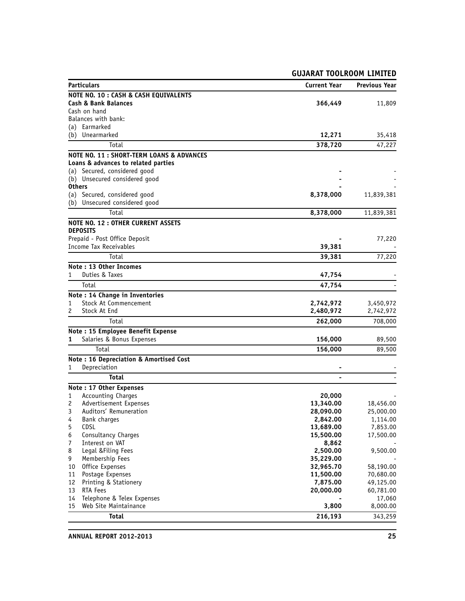| <b>GUJARAT TOOLROOM LIMITED</b>                  |                       |                       |  |
|--------------------------------------------------|-----------------------|-----------------------|--|
| <b>Particulars</b>                               | <b>Current Year</b>   | <b>Previous Year</b>  |  |
| NOTE NO. 10 : CASH & CASH EQUIVALENTS            |                       |                       |  |
| <b>Cash &amp; Bank Balances</b>                  | 366,449               | 11,809                |  |
| Cash on hand                                     |                       |                       |  |
| Balances with bank:                              |                       |                       |  |
| (a) Earmarked                                    |                       |                       |  |
| (b) Unearmarked                                  | 12,271                | 35,418                |  |
| Total                                            | 378,720               | 47,227                |  |
| NOTE NO. 11: SHORT-TERM LOANS & ADVANCES         |                       |                       |  |
| Loans & advances to related parties              |                       |                       |  |
| (a) Secured, considered good                     |                       |                       |  |
| (b) Unsecured considered good<br><b>Others</b>   |                       |                       |  |
| (a) Secured, considered good                     | 8,378,000             | 11,839,381            |  |
| (b) Unsecured considered good                    |                       |                       |  |
| Total                                            | 8,378,000             | 11,839,381            |  |
| <b>NOTE NO. 12: OTHER CURRENT ASSETS</b>         |                       |                       |  |
| <b>DEPOSITS</b>                                  |                       |                       |  |
| Prepaid - Post Office Deposit                    |                       | 77,220                |  |
| Income Tax Receivables                           | 39,381                |                       |  |
| Total                                            | 39,381                | 77,220                |  |
| Note: 13 Other Incomes                           |                       |                       |  |
| Duties & Taxes<br>1                              | 47,754                |                       |  |
| Total                                            | 47,754                |                       |  |
| Note: 14 Change in Inventories                   |                       |                       |  |
| Stock At Commencement<br>1                       | 2,742,972             | 3,450,972             |  |
| Stock At End<br>2                                | 2,480,972             | 2,742,972             |  |
| Total                                            | 262,000               | 708,000               |  |
| Note: 15 Employee Benefit Expense                |                       |                       |  |
| Salaries & Bonus Expenses<br>1                   | 156,000               | 89,500                |  |
| Total                                            | 156,000               | 89,500                |  |
| Note: 16 Depreciation & Amortised Cost           |                       |                       |  |
| Depreciation<br>1                                |                       |                       |  |
| <b>Total</b>                                     |                       |                       |  |
| Note: 17 Other Expenses                          |                       |                       |  |
| <b>Accounting Charges</b><br>1                   | 20,000                |                       |  |
| Advertisement Expenses<br>2                      | 13,340.00             | 18,456.00             |  |
| Auditors' Remuneration<br>3<br>4<br>Bank charges | 28,090.00<br>2,842.00 | 25,000.00<br>1,114.00 |  |
| 5<br><b>CDSL</b>                                 | 13,689.00             | 7,853.00              |  |
| Consultancy Charges<br>6                         | 15,500.00             | 17,500.00             |  |
| Interest on VAT<br>7                             | 8,862                 |                       |  |
| Legal & Filing Fees<br>8                         | 2,500.00              | 9,500.00              |  |
| 9<br>Membership Fees                             | 35,229.00             |                       |  |
| Office Expenses<br>10                            | 32,965.70             | 58,190.00             |  |
| Postage Expenses<br>11                           | 11,500.00             | 70,680.00             |  |
| Printing & Stationery<br>12                      | 7,875.00              | 49,125.00             |  |
| 13<br><b>RTA Fees</b>                            | 20,000.00             | 60,781.00             |  |
| Telephone & Telex Expenses<br>14                 |                       | 17,060                |  |
| Web Site Maintainance<br>15                      | 3,800                 | 8,000.00              |  |
| <b>Total</b>                                     | 216,193               | 343,259               |  |

**ANNUAL REPORT 2012-2013 25**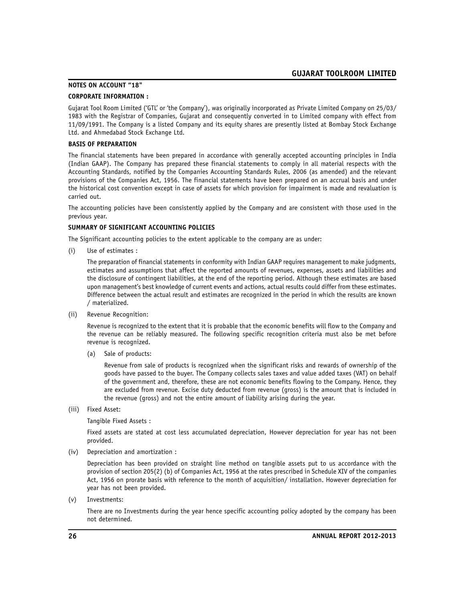### **NOTES ON ACCOUNT "18"**

### **CORPORATE INFORMATION :**

Gujarat Tool Room Limited ('GTL' or 'the Company'), was originally incorporated as Private Limited Company on 25/03/ 1983 with the Registrar of Companies, Gujarat and consequently converted in to Limited company with effect from 11/09/1991. The Company is a listed Company and its equity shares are presently listed at Bombay Stock Exchange Ltd. and Ahmedabad Stock Exchange Ltd.

#### **BASIS OF PREPARATION**

The financial statements have been prepared in accordance with generally accepted accounting principles in India (Indian GAAP). The Company has prepared these financial statements to comply in all material respects with the Accounting Standards, notified by the Companies Accounting Standards Rules, 2006 (as amended) and the relevant provisions of the Companies Act, 1956. The financial statements have been prepared on an accrual basis and under the historical cost convention except in case of assets for which provision for impairment is made and revaluation is carried out.

The accounting policies have been consistently applied by the Company and are consistent with those used in the previous year.

#### **SUMMARY OF SIGNIFICANT ACCOUNTING POLICIES**

The Significant accounting policies to the extent applicable to the company are as under:

(i) Use of estimates :

The preparation of financial statements in conformity with Indian GAAP requires management to make judgments, estimates and assumptions that affect the reported amounts of revenues, expenses, assets and liabilities and the disclosure of contingent liabilities, at the end of the reporting period. Although these estimates are based upon management's best knowledge of current events and actions, actual results could differ from these estimates. Difference between the actual result and estimates are recognized in the period in which the results are known / materialized.

(ii) Revenue Recognition:

Revenue is recognized to the extent that it is probable that the economic benefits will flow to the Company and the revenue can be reliably measured. The following specific recognition criteria must also be met before revenue is recognized.

(a) Sale of products:

Revenue from sale of products is recognized when the significant risks and rewards of ownership of the goods have passed to the buyer. The Company collects sales taxes and value added taxes (VAT) on behalf of the government and, therefore, these are not economic benefits flowing to the Company. Hence, they are excluded from revenue. Excise duty deducted from revenue (gross) is the amount that is included in the revenue (gross) and not the entire amount of liability arising during the year.

(iii) Fixed Asset:

Tangible Fixed Assets :

Fixed assets are stated at cost less accumulated depreciation, However depreciation for year has not been provided.

(iv) Depreciation and amortization :

Depreciation has been provided on straight line method on tangible assets put to us accordance with the provision of section 205(2) (b) of Companies Act, 1956 at the rates prescribed in Schedule XIV of the companies Act, 1956 on prorate basis with reference to the month of acquisition/ installation. However depreciation for year has not been provided.

(v) Investments:

There are no Investments during the year hence specific accounting policy adopted by the company has been not determined.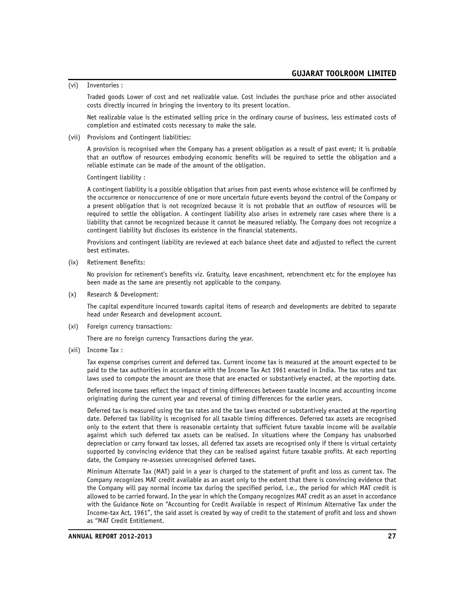(vi) Inventories :

Traded goods Lower of cost and net realizable value. Cost includes the purchase price and other associated costs directly incurred in bringing the inventory to its present location.

Net realizable value is the estimated selling price in the ordinary course of business, less estimated costs of completion and estimated costs necessary to make the sale.

(vii) Provisions and Contingent liabilities:

A provision is recognised when the Company has a present obligation as a result of past event; it is probable that an outflow of resources embodying economic benefits will be required to settle the obligation and a reliable estimate can be made of the amount of the obligation.

Contingent liability :

A contingent liability is a possible obligation that arises from past events whose existence will be confirmed by the occurrence or nonoccurrence of one or more uncertain future events beyond the control of the Company or a present obligation that is not recognized because it is not probable that an outflow of resources will be required to settle the obligation. A contingent liability also arises in extremely rare cases where there is a liability that cannot be recognized because it cannot be measured reliably. The Company does not recognize a contingent liability but discloses its existence in the financial statements.

Provisions and contingent liability are reviewed at each balance sheet date and adjusted to reflect the current best estimates.

(ix) Retirement Benefits:

No provision for retirement's benefits viz. Gratuity, leave encashment, retrenchment etc for the employee has been made as the same are presently not applicable to the company.

(x) Research & Development:

The capital expenditure incurred towards capital items of research and developments are debited to separate head under Research and development account.

(xi) Foreign currency transactions:

There are no foreign currency Transactions during the year.

(xii) Income Tax :

Tax expense comprises current and deferred tax. Current income tax is measured at the amount expected to be paid to the tax authorities in accordance with the Income Tax Act 1961 enacted in India. The tax rates and tax laws used to compute the amount are those that are enacted or substantively enacted, at the reporting date.

Deferred income taxes reflect the impact of timing differences between taxable income and accounting income originating during the current year and reversal of timing differences for the earlier years.

Deferred tax is measured using the tax rates and the tax laws enacted or substantively enacted at the reporting date. Deferred tax liability is recognised for all taxable timing differences. Deferred tax assets are recognised only to the extent that there is reasonable certainty that sufficient future taxable income will be available against which such deferred tax assets can be realised. In situations where the Company has unabsorbed depreciation or carry forward tax losses, all deferred tax assets are recognised only if there is virtual certainty supported by convincing evidence that they can be realised against future taxable profits. At each reporting date, the Company re-assesses unrecognised deferred taxes.

Minimum Alternate Tax (MAT) paid in a year is charged to the statement of profit and loss as current tax. The Company recognizes MAT credit available as an asset only to the extent that there is convincing evidence that the Company will pay normal income tax during the specified period, i.e., the period for which MAT credit is allowed to be carried forward. In the year in which the Company recognizes MAT credit as an asset in accordance with the Guidance Note on "Accounting for Credit Available in respect of Minimum Alternative Tax under the Income-tax Act, 1961", the said asset is created by way of credit to the statement of profit and loss and shown as "MAT Credit Entitlement.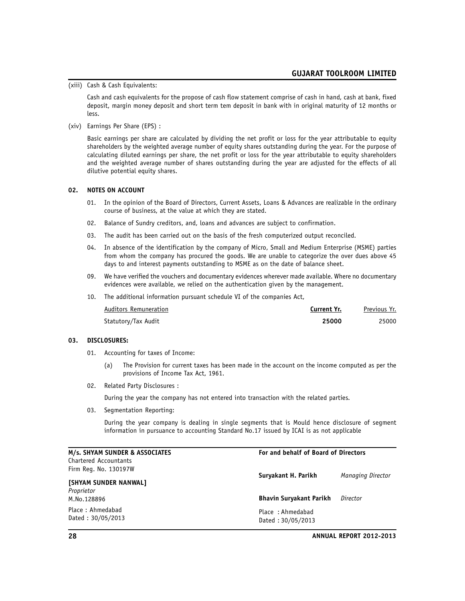(xiii) Cash & Cash Equivalents:

Cash and cash equivalents for the propose of cash flow statement comprise of cash in hand, cash at bank, fixed deposit, margin money deposit and short term tem deposit in bank with in original maturity of 12 months or less.

(xiv) Earnings Per Share (EPS) :

Basic earnings per share are calculated by dividing the net profit or loss for the year attributable to equity shareholders by the weighted average number of equity shares outstanding during the year. For the purpose of calculating diluted earnings per share, the net profit or loss for the year attributable to equity shareholders and the weighted average number of shares outstanding during the year are adjusted for the effects of all dilutive potential equity shares.

#### **02. NOTES ON ACCOUNT**

- 01. In the opinion of the Board of Directors, Current Assets, Loans & Advances are realizable in the ordinary course of business, at the value at which they are stated.
- 02. Balance of Sundry creditors, and, loans and advances are subject to confirmation.
- 03. The audit has been carried out on the basis of the fresh computerized output reconciled.
- 04. In absence of the identification by the company of Micro, Small and Medium Enterprise (MSME) parties from whom the company has procured the goods. We are unable to categorize the over dues above 45 days to and interest payments outstanding to MSME as on the date of balance sheet.
- 09. We have verified the vouchers and documentary evidences wherever made available. Where no documentary evidences were available, we relied on the authentication given by the management.
- 10. The additional information pursuant schedule VI of the companies Act,

| Auditors Remuneration | Current Yr. | Previous Yr. |
|-----------------------|-------------|--------------|
| Statutory/Tax Audit   | 25000       | 25000        |

#### **03. DISCLOSURES:**

- 01. Accounting for taxes of Income:
	- (a) The Provision for current taxes has been made in the account on the income computed as per the provisions of Income Tax Act, 1961.
- 02. Related Party Disclosures :

During the year the company has not entered into transaction with the related parties.

03. Segmentation Reporting:

During the year company is dealing in single segments that is Mould hence disclosure of segment information in pursuance to accounting Standard No.17 issued by ICAI is as not applicable

| M/s. SHYAM SUNDER & ASSOCIATES        | For and behalf of Board of Directors  |                          |
|---------------------------------------|---------------------------------------|--------------------------|
| Chartered Accountants                 |                                       |                          |
| Firm Reg. No. 130197W                 | Suryakant H. Parikh                   | <b>Managing Director</b> |
| [SHYAM SUNDER NANWAL]                 |                                       |                          |
| Proprietor                            |                                       |                          |
| M.No.128896                           | <b>Bhavin Survakant Parikh</b>        | Director                 |
| Place: Ahmedabad<br>Dated: 30/05/2013 | Place: Ahmedabad<br>Dated: 30/05/2013 |                          |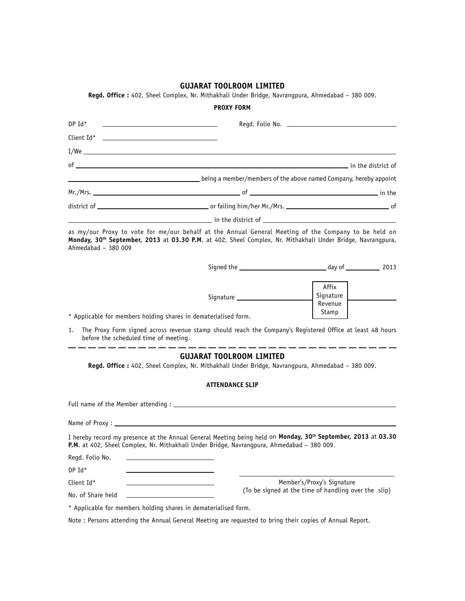**Regd. Office :** 402, Sheel Complex, Nr. Mithakhali Under Bridge, Navrangpura, Ahmedabad – 380 009.

|                                                                                                                                                                                                                                                  | <b>PROXY FORM</b>                                                                                                                                                                                                                    |                                                                                    |
|--------------------------------------------------------------------------------------------------------------------------------------------------------------------------------------------------------------------------------------------------|--------------------------------------------------------------------------------------------------------------------------------------------------------------------------------------------------------------------------------------|------------------------------------------------------------------------------------|
| <u>and the contract of the contract of the contract of the contract of the contract of the contract of the contract of the contract of the contract of the contract of the contract of the contract of the contract of the contr</u><br>$DP$ Id* |                                                                                                                                                                                                                                      |                                                                                    |
|                                                                                                                                                                                                                                                  |                                                                                                                                                                                                                                      |                                                                                    |
|                                                                                                                                                                                                                                                  | I/We <u>the contract of the contract of the contract of the contract of the contract of the contract of the contract of the contract of the contract of the contract of the contract of the contract of the contract of the cont</u> |                                                                                    |
|                                                                                                                                                                                                                                                  |                                                                                                                                                                                                                                      |                                                                                    |
|                                                                                                                                                                                                                                                  | being a member/members of the above named Company, hereby appoint by the above named Company, hereby appoint                                                                                                                         |                                                                                    |
|                                                                                                                                                                                                                                                  |                                                                                                                                                                                                                                      |                                                                                    |
|                                                                                                                                                                                                                                                  |                                                                                                                                                                                                                                      |                                                                                    |
|                                                                                                                                                                                                                                                  |                                                                                                                                                                                                                                      |                                                                                    |
| Ahmedabad - 380 009                                                                                                                                                                                                                              | as my/our Proxy to vote for me/our behalf at the Annual General Meeting of the Company to be held on<br>Monday, 30 <sup>th</sup> September, 2013 at 03.30 P.M. at 402, Sheel Complex, Nr. Mithakhali Under Bridge, Navrangpura,      |                                                                                    |
|                                                                                                                                                                                                                                                  |                                                                                                                                                                                                                                      |                                                                                    |
| * Applicable for members holding shares in dematerialised form.<br>1.<br>before the scheduled time of meeting.                                                                                                                                   | The Proxy Form signed across revenue stamp should reach the Company's Registered Office at least 48 hours                                                                                                                            | Affix<br>Signature<br>Revenue<br>Stamp                                             |
|                                                                                                                                                                                                                                                  | <b>GUJARAT TOOLROOM LIMITED</b><br>Regd. Office : 402, Sheel Complex, Nr. Mithakhali Under Bridge, Navrangpura, Ahmedabad - 380 009.<br><b>ATTENDANCE SLIP</b>                                                                       |                                                                                    |
|                                                                                                                                                                                                                                                  |                                                                                                                                                                                                                                      |                                                                                    |
|                                                                                                                                                                                                                                                  |                                                                                                                                                                                                                                      |                                                                                    |
|                                                                                                                                                                                                                                                  | I hereby record my presence at the Annual General Meeting being held on Monday, 30 <sup>th</sup> September, 2013 at 03.30<br>P.M. at 402, Sheel Complex, Nr. Mithakhali Under Bridge, Navrangpura, Ahmedabad - 380 009.              |                                                                                    |
| Regd. Folio No.                                                                                                                                                                                                                                  |                                                                                                                                                                                                                                      |                                                                                    |
| DP Id*                                                                                                                                                                                                                                           |                                                                                                                                                                                                                                      |                                                                                    |
| Client Id*                                                                                                                                                                                                                                       |                                                                                                                                                                                                                                      | Member's/Proxy's Signature<br>(To be signed at the time of handling over the slip) |
| No. of Share held                                                                                                                                                                                                                                |                                                                                                                                                                                                                                      |                                                                                    |
| * Applicable for members holding shares in dematerialised form.                                                                                                                                                                                  |                                                                                                                                                                                                                                      |                                                                                    |

Note : Persons attending the Annual General Meeting are requested to bring their copies of Annual Report.